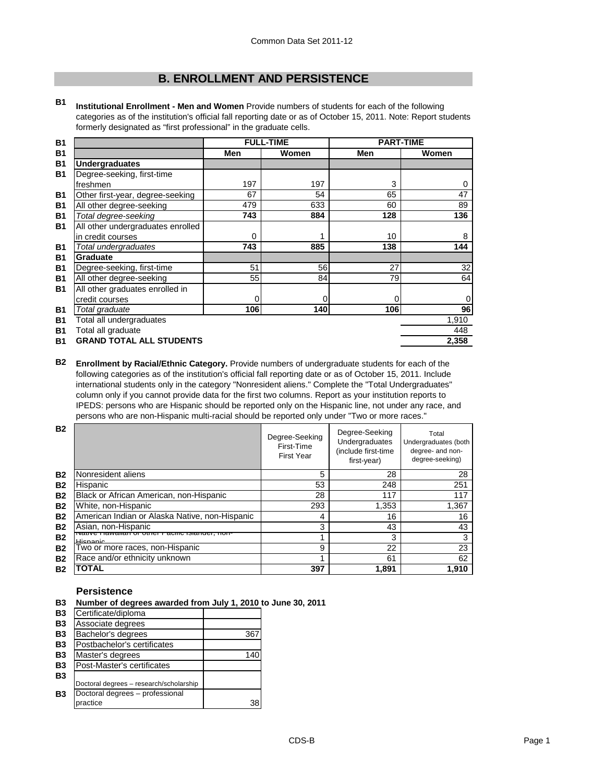# **B. ENROLLMENT AND PERSISTENCE**

**B1 Institutional Enrollment - Men and Women** Provide numbers of students for each of the following categories as of the institution's official fall reporting date or as of October 15, 2011. Note: Report students formerly designated as "first professional" in the graduate cells.

| <b>B1</b> |                                   |             | <b>FULL-TIME</b> | <b>PART-TIME</b> |       |
|-----------|-----------------------------------|-------------|------------------|------------------|-------|
| <b>B1</b> |                                   | Men         | Women            | Men              | Women |
| <b>B1</b> | <b>Undergraduates</b>             |             |                  |                  |       |
| <b>B1</b> | Degree-seeking, first-time        |             |                  |                  |       |
|           | freshmen                          | 197         | 197              | 3                | 0     |
| <b>B1</b> | Other first-year, degree-seeking  | 67          | 54               | 65               | 47    |
| <b>B1</b> | All other degree-seeking          | 479         | 633              | 60               | 89    |
| <b>B1</b> | Total degree-seeking              | 743         | 884              | 128              | 136   |
| <b>B1</b> | All other undergraduates enrolled |             |                  |                  |       |
|           | in credit courses                 | 0           | 1                | 10               | 8     |
| <b>B1</b> | Total undergraduates              | 743         | 885              | 138              | 144   |
| <b>B1</b> | Graduate                          |             |                  |                  |       |
| <b>B1</b> | Degree-seeking, first-time        | 51          | 56               | 27               | 32    |
| <b>B1</b> | All other degree-seeking          | 55          | 84               | 79               | 64    |
| <b>B1</b> | All other graduates enrolled in   |             |                  |                  |       |
|           | credit courses                    | $\mathbf 0$ | 0                |                  | 0     |
| <b>B1</b> | Total graduate                    | 106         | 140              | 106              | 96    |
| <b>B1</b> | Total all undergraduates          |             |                  |                  | 1,910 |
| <b>B1</b> | Total all graduate                |             |                  |                  | 448   |
| <b>B1</b> | <b>GRAND TOTAL ALL STUDENTS</b>   |             |                  |                  | 2,358 |

**B2 Enrollment by Racial/Ethnic Category.** Provide numbers of undergraduate students for each of the following categories as of the institution's official fall reporting date or as of October 15, 2011. Include international students only in the category "Nonresident aliens." Complete the "Total Undergraduates" column only if you cannot provide data for the first two columns. Report as your institution reports to IPEDS: persons who are Hispanic should be reported only on the Hispanic line, not under any race, and persons who are non-Hispanic multi-racial should be reported only under "Two or more races."

| <b>B2</b> |                                                                    | Degree-Seeking<br>First-Time<br>First Year | Degree-Seeking<br>Undergraduates<br>(include first-time<br>first-year) | Total<br>Undergraduates (both<br>degree- and non-<br>degree-seeking) |
|-----------|--------------------------------------------------------------------|--------------------------------------------|------------------------------------------------------------------------|----------------------------------------------------------------------|
| <b>B2</b> | Nonresident aliens                                                 | 5                                          | 28                                                                     | 28                                                                   |
| <b>B2</b> | Hispanic                                                           | 53                                         | 248                                                                    | 251                                                                  |
| <b>B2</b> | Black or African American, non-Hispanic                            | 28                                         | 117                                                                    | 117                                                                  |
| <b>B2</b> | White, non-Hispanic                                                | 293                                        | 1,353                                                                  | 1,367                                                                |
| <b>B2</b> | American Indian or Alaska Native, non-Hispanic                     | 4                                          | 16                                                                     | 16                                                                   |
| <b>B2</b> | Asian, non-Hispanic                                                | 3                                          | 43                                                                     | 43                                                                   |
| <b>B2</b> | <u>Native Flawalian of Other Pacific Islander. Hom</u><br>Hienanie |                                            | 3                                                                      | 3                                                                    |
| <b>B2</b> | Two or more races, non-Hispanic                                    | 9                                          | 22                                                                     | 23                                                                   |
| <b>B2</b> | Race and/or ethnicity unknown                                      |                                            | 61                                                                     | 62                                                                   |
| <b>B2</b> | <b>TOTAL</b>                                                       | 397                                        | 1,891                                                                  | 1,910                                                                |

#### **Persistence**

- **B3 Number of degrees awarded from July 1, 2010 to June 30, 2011**
- **B3** Certificate/diploma **B3** Associate degrees **B3** Bachelor's degrees 1 367 **B3** Postbachelor's certificates **B3** Master's degrees 140 **B3** Post-Master's certificates **B3** Doctoral degrees – research/scholarship **B3** Doctoral degrees – professional practice 38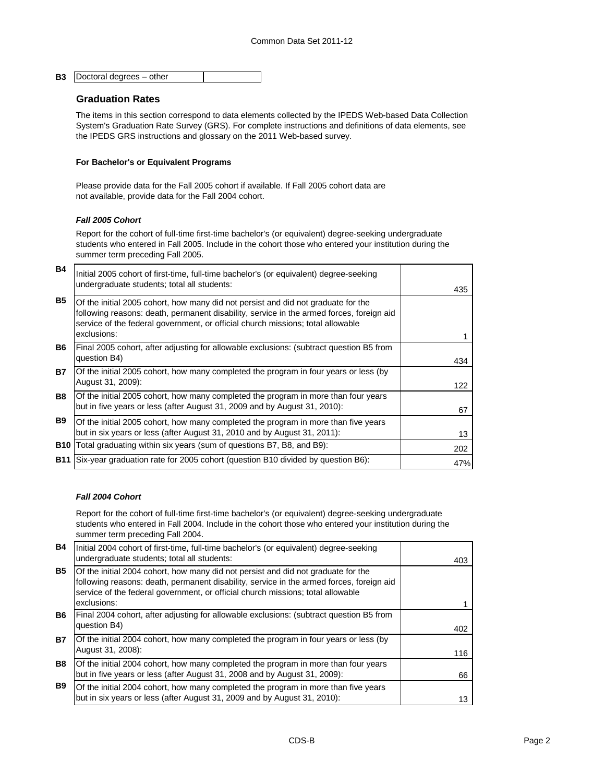#### **B3** Doctoral degrees – other

#### **Graduation Rates**

The items in this section correspond to data elements collected by the IPEDS Web-based Data Collection System's Graduation Rate Survey (GRS). For complete instructions and definitions of data elements, see the IPEDS GRS instructions and glossary on the 2011 Web-based survey.

#### **For Bachelor's or Equivalent Programs**

Please provide data for the Fall 2005 cohort if available. If Fall 2005 cohort data are not available, provide data for the Fall 2004 cohort.

#### *Fall 2005 Cohort*

Report for the cohort of full-time first-time bachelor's (or equivalent) degree-seeking undergraduate students who entered in Fall 2005. Include in the cohort those who entered your institution during the summer term preceding Fall 2005.

| <b>B5</b><br>Of the initial 2005 cohort, how many did not persist and did not graduate for the<br>following reasons: death, permanent disability, service in the armed forces, foreign aid<br>service of the federal government, or official church missions; total allowable<br>exclusions:<br>Final 2005 cohort, after adjusting for allowable exclusions: (subtract question B5 from<br>B6.<br>question B4)<br>434<br><b>B7</b><br>Of the initial 2005 cohort, how many completed the program in four years or less (by<br>August 31, 2009):<br>122<br><b>B8</b><br>Of the initial 2005 cohort, how many completed the program in more than four years<br>but in five years or less (after August 31, 2009 and by August 31, 2010):<br>67<br><b>B9</b><br>Of the initial 2005 cohort, how many completed the program in more than five years<br>but in six years or less (after August 31, 2010 and by August 31, 2011):<br>13<br><b>B10</b> Total graduating within six years (sum of questions B7, B8, and B9):<br>202<br>Six-year graduation rate for 2005 cohort (question B10 divided by question B6):<br><b>B11</b> | <b>B4</b> | Initial 2005 cohort of first-time, full-time bachelor's (or equivalent) degree-seeking<br>undergraduate students; total all students: | 435 |
|------------------------------------------------------------------------------------------------------------------------------------------------------------------------------------------------------------------------------------------------------------------------------------------------------------------------------------------------------------------------------------------------------------------------------------------------------------------------------------------------------------------------------------------------------------------------------------------------------------------------------------------------------------------------------------------------------------------------------------------------------------------------------------------------------------------------------------------------------------------------------------------------------------------------------------------------------------------------------------------------------------------------------------------------------------------------------------------------------------------------------|-----------|---------------------------------------------------------------------------------------------------------------------------------------|-----|
|                                                                                                                                                                                                                                                                                                                                                                                                                                                                                                                                                                                                                                                                                                                                                                                                                                                                                                                                                                                                                                                                                                                              |           |                                                                                                                                       |     |
|                                                                                                                                                                                                                                                                                                                                                                                                                                                                                                                                                                                                                                                                                                                                                                                                                                                                                                                                                                                                                                                                                                                              |           |                                                                                                                                       |     |
|                                                                                                                                                                                                                                                                                                                                                                                                                                                                                                                                                                                                                                                                                                                                                                                                                                                                                                                                                                                                                                                                                                                              |           |                                                                                                                                       |     |
|                                                                                                                                                                                                                                                                                                                                                                                                                                                                                                                                                                                                                                                                                                                                                                                                                                                                                                                                                                                                                                                                                                                              |           |                                                                                                                                       |     |
|                                                                                                                                                                                                                                                                                                                                                                                                                                                                                                                                                                                                                                                                                                                                                                                                                                                                                                                                                                                                                                                                                                                              |           |                                                                                                                                       |     |
|                                                                                                                                                                                                                                                                                                                                                                                                                                                                                                                                                                                                                                                                                                                                                                                                                                                                                                                                                                                                                                                                                                                              |           |                                                                                                                                       |     |
|                                                                                                                                                                                                                                                                                                                                                                                                                                                                                                                                                                                                                                                                                                                                                                                                                                                                                                                                                                                                                                                                                                                              |           |                                                                                                                                       | 47% |

#### *Fall 2004 Cohort*

Report for the cohort of full-time first-time bachelor's (or equivalent) degree-seeking undergraduate students who entered in Fall 2004. Include in the cohort those who entered your institution during the summer term preceding Fall 2004.

| <b>B4</b> | Initial 2004 cohort of first-time, full-time bachelor's (or equivalent) degree-seeking<br>undergraduate students; total all students:                                                                                                                                           | 403 |
|-----------|---------------------------------------------------------------------------------------------------------------------------------------------------------------------------------------------------------------------------------------------------------------------------------|-----|
| <b>B5</b> | Of the initial 2004 cohort, how many did not persist and did not graduate for the<br>following reasons: death, permanent disability, service in the armed forces, foreign aid<br>service of the federal government, or official church missions; total allowable<br>exclusions: |     |
| <b>B6</b> | Final 2004 cohort, after adjusting for allowable exclusions: (subtract question B5 from<br>question B4)                                                                                                                                                                         | 402 |
| <b>B7</b> | Of the initial 2004 cohort, how many completed the program in four years or less (by<br>August 31, 2008):                                                                                                                                                                       | 116 |
| <b>B8</b> | Of the initial 2004 cohort, how many completed the program in more than four years<br>but in five years or less (after August 31, 2008 and by August 31, 2009):                                                                                                                 | 66  |
| <b>B9</b> | Of the initial 2004 cohort, how many completed the program in more than five years<br>but in six years or less (after August 31, 2009 and by August 31, 2010):                                                                                                                  | 13  |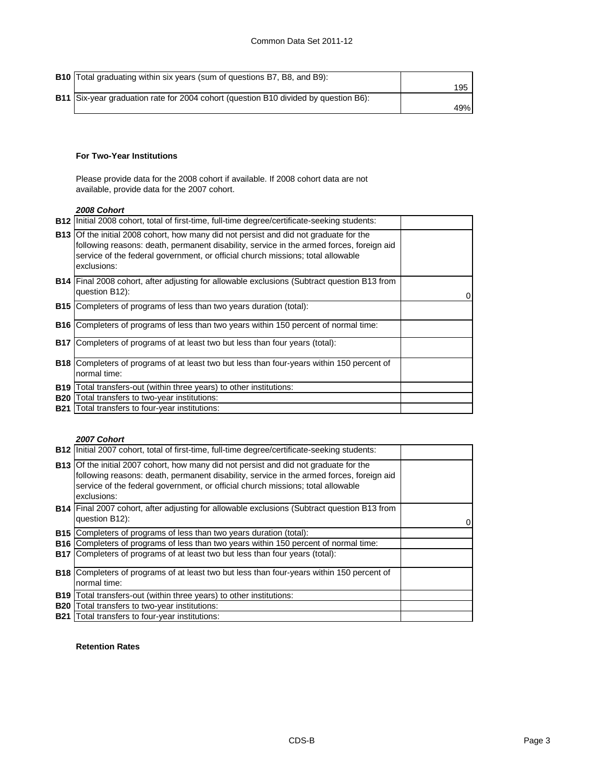**B10** Total graduating within six years (sum of questions B7, B8, and B9): 195 **B11** Six-year graduation rate for 2004 cohort (question B10 divided by question B6): 49%

#### **For Two-Year Institutions**

Please provide data for the 2008 cohort if available. If 2008 cohort data are not available, provide data for the 2007 cohort.

#### *2008 Cohort*

|            | <b>B12</b> Initial 2008 cohort, total of first-time, full-time degree/certificate-seeking students:                                                                                                                                                                                        |   |
|------------|--------------------------------------------------------------------------------------------------------------------------------------------------------------------------------------------------------------------------------------------------------------------------------------------|---|
|            | <b>B13</b> Of the initial 2008 cohort, how many did not persist and did not graduate for the<br>following reasons: death, permanent disability, service in the armed forces, foreign aid<br>service of the federal government, or official church missions; total allowable<br>exclusions: |   |
|            | <b>B14</b> Final 2008 cohort, after adjusting for allowable exclusions (Subtract question B13 from<br>question B12):                                                                                                                                                                       | 0 |
|            | <b>B15</b> Completers of programs of less than two years duration (total):                                                                                                                                                                                                                 |   |
|            | B16 Completers of programs of less than two years within 150 percent of normal time:                                                                                                                                                                                                       |   |
|            | <b>B17</b> Completers of programs of at least two but less than four years (total):                                                                                                                                                                                                        |   |
|            | <b>B18</b> Completers of programs of at least two but less than four-years within 150 percent of<br>normal time:                                                                                                                                                                           |   |
| <b>B19</b> | Total transfers-out (within three years) to other institutions:                                                                                                                                                                                                                            |   |
| <b>B20</b> | Total transfers to two-year institutions:                                                                                                                                                                                                                                                  |   |
|            | <b>B21</b> Total transfers to four-year institutions:                                                                                                                                                                                                                                      |   |

#### *2007 Cohort*

|              | <b>B12</b> Initial 2007 cohort, total of first-time, full-time degree/certificate-seeking students:                                                                                                                                                                                        |   |
|--------------|--------------------------------------------------------------------------------------------------------------------------------------------------------------------------------------------------------------------------------------------------------------------------------------------|---|
|              | <b>B13</b> Of the initial 2007 cohort, how many did not persist and did not graduate for the<br>following reasons: death, permanent disability, service in the armed forces, foreign aid<br>service of the federal government, or official church missions; total allowable<br>exclusions: |   |
|              | <b>B14</b> Final 2007 cohort, after adjusting for allowable exclusions (Subtract question B13 from<br>question B12):                                                                                                                                                                       | 0 |
|              | <b>B15</b> Completers of programs of less than two years duration (total):                                                                                                                                                                                                                 |   |
|              | <b>B16</b> Completers of programs of less than two years within 150 percent of normal time:                                                                                                                                                                                                |   |
|              | <b>B17</b> Completers of programs of at least two but less than four years (total):                                                                                                                                                                                                        |   |
|              | <b>B18</b> Completers of programs of at least two but less than four-years within 150 percent of                                                                                                                                                                                           |   |
|              | normal time:                                                                                                                                                                                                                                                                               |   |
|              | B19   Total transfers-out (within three years) to other institutions:                                                                                                                                                                                                                      |   |
| <b>B20</b> I | Total transfers to two-year institutions:                                                                                                                                                                                                                                                  |   |
|              | <b>B21</b> Total transfers to four-year institutions:                                                                                                                                                                                                                                      |   |

**Retention Rates**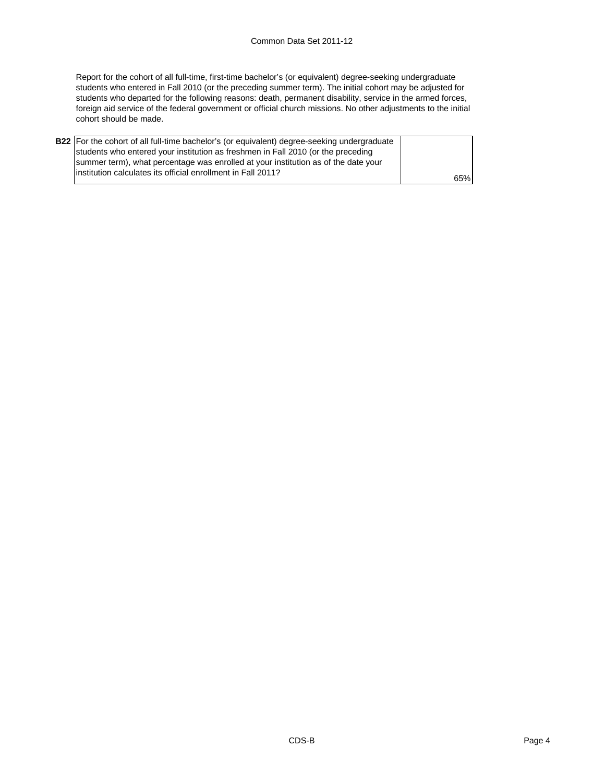Report for the cohort of all full-time, first-time bachelor's (or equivalent) degree-seeking undergraduate students who entered in Fall 2010 (or the preceding summer term). The initial cohort may be adjusted for students who departed for the following reasons: death, permanent disability, service in the armed forces, foreign aid service of the federal government or official church missions. No other adjustments to the initial cohort should be made.

| <b>B22</b> For the cohort of all full-time bachelor's (or equivalent) degree-seeking undergraduate |     |
|----------------------------------------------------------------------------------------------------|-----|
| students who entered your institution as freshmen in Fall 2010 (or the preceding                   |     |
| summer term), what percentage was enrolled at your institution as of the date your                 |     |
| institution calculates its official enrollment in Fall 2011?                                       |     |
|                                                                                                    | 65% |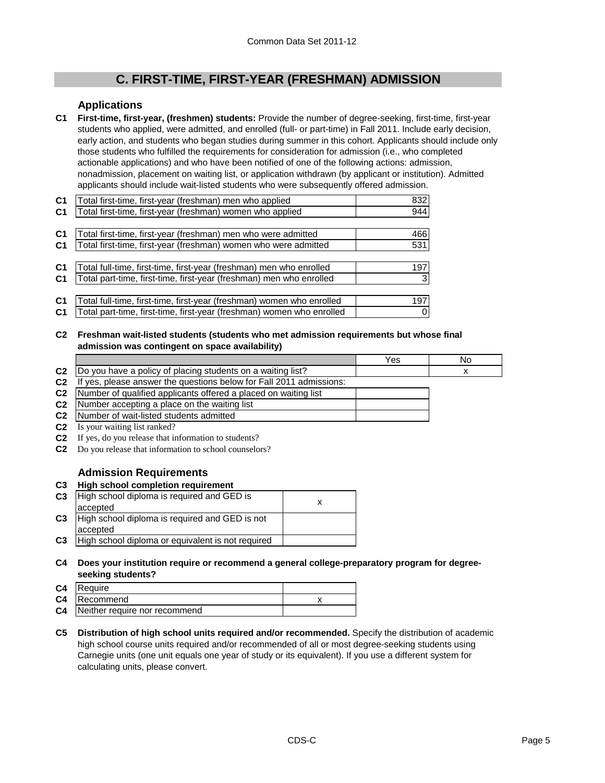# **C. FIRST-TIME, FIRST-YEAR (FRESHMAN) ADMISSION**

# **Applications**

**C1 First-time, first-year, (freshmen) students:** Provide the number of degree-seeking, first-time, first-year students who applied, were admitted, and enrolled (full- or part-time) in Fall 2011. Include early decision, early action, and students who began studies during summer in this cohort. Applicants should include only those students who fulfilled the requirements for consideration for admission (i.e., who completed actionable applications) and who have been notified of one of the following actions: admission, nonadmission, placement on waiting list, or application withdrawn (by applicant or institution). Admitted applicants should include wait-listed students who were subsequently offered admission.

| C <sub>1</sub> | Total first-time, first-year (freshman) men who applied               | 832 |
|----------------|-----------------------------------------------------------------------|-----|
| C <sub>1</sub> | Total first-time, first-year (freshman) women who applied             | 944 |
|                |                                                                       |     |
| C <sub>1</sub> | Total first-time, first-year (freshman) men who were admitted         | 466 |
| C <sub>1</sub> | Total first-time, first-year (freshman) women who were admitted       | 531 |
|                |                                                                       |     |
| C <sub>1</sub> | Total full-time, first-time, first-year (freshman) men who enrolled   | 197 |
| C <sub>1</sub> | Total part-time, first-time, first-year (freshman) men who enrolled   |     |
|                |                                                                       |     |
| C <sub>1</sub> | Total full-time, first-time, first-year (freshman) women who enrolled | 197 |
| C <sub>1</sub> | Total part-time, first-time, first-year (freshman) women who enrolled |     |

**C2 Freshman wait-listed students (students who met admission requirements but whose final admission was contingent on space availability)**

|                |                                                                     | Yes | No |
|----------------|---------------------------------------------------------------------|-----|----|
| C <sub>2</sub> | Do you have a policy of placing students on a waiting list?         |     |    |
| C <sub>2</sub> | If yes, please answer the questions below for Fall 2011 admissions: |     |    |
| C <sub>2</sub> | Number of qualified applicants offered a placed on waiting list     |     |    |
| C <sub>2</sub> | Number accepting a place on the waiting list                        |     |    |
| C <sub>2</sub> | Number of wait-listed students admitted                             |     |    |
|                | .                                                                   |     |    |

- **C2** Is your waiting list ranked?
- **C2** If yes, do you release that information to students?
- **C2** Do you release that information to school counselors?

# **Admission Requirements**

#### **C3 High school completion requirement**

| C <sub>3</sub> | High school diploma is required and GED is        |  |
|----------------|---------------------------------------------------|--|
|                | accepted                                          |  |
| C <sub>3</sub> | High school diploma is required and GED is not    |  |
|                | accepted                                          |  |
| C <sub>3</sub> | High school diploma or equivalent is not required |  |

### **C4 Does your institution require or recommend a general college-preparatory program for degreeseeking students?**

| C <sub>4</sub> | <b>IRequire</b>               |  |
|----------------|-------------------------------|--|
| C4             | ∕ IRecommend                  |  |
| C <sub>4</sub> | Neither require nor recommend |  |

**C5 Distribution of high school units required and/or recommended.** Specify the distribution of academic high school course units required and/or recommended of all or most degree-seeking students using Carnegie units (one unit equals one year of study or its equivalent). If you use a different system for calculating units, please convert.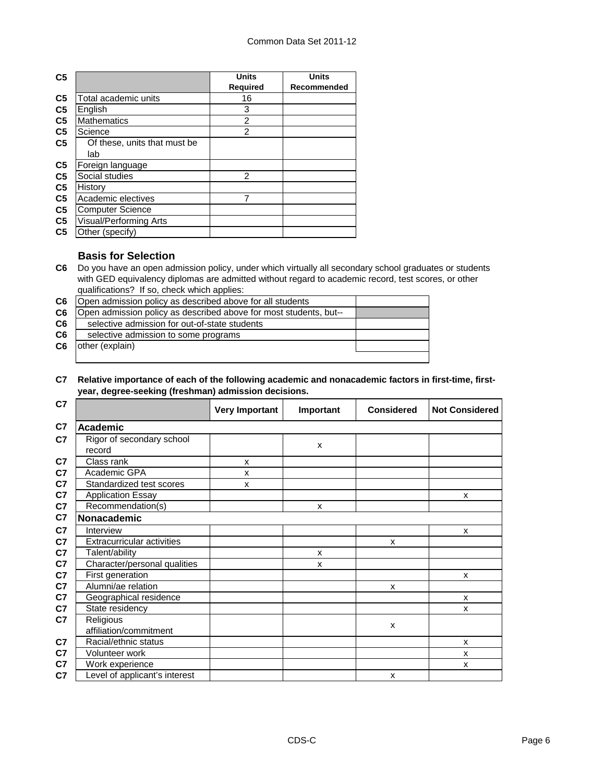| C <sub>5</sub> |                              | <b>Units</b>   | <b>Units</b> |
|----------------|------------------------------|----------------|--------------|
|                |                              | Required       | Recommended  |
| C <sub>5</sub> | Total academic units         | 16             |              |
| C <sub>5</sub> | English                      | 3              |              |
| C <sub>5</sub> | Mathematics                  | $\overline{2}$ |              |
| C <sub>5</sub> | Science                      | $\overline{2}$ |              |
| C <sub>5</sub> | Of these, units that must be |                |              |
|                | lab                          |                |              |
| C <sub>5</sub> | Foreign language             |                |              |
| C <sub>5</sub> | Social studies               | 2              |              |
| C <sub>5</sub> | History                      |                |              |
| C <sub>5</sub> | Academic electives           | 7              |              |
| C <sub>5</sub> | <b>Computer Science</b>      |                |              |
| C <sub>5</sub> | Visual/Performing Arts       |                |              |
| C <sub>5</sub> | Other (specify)              |                |              |

# **Basis for Selection**

**C6** Do you have an open admission policy, under which virtually all secondary school graduates or students with GED equivalency diplomas are admitted without regard to academic record, test scores, or other qualifications? If so, check which applies:

| C <sub>6</sub> | Open admission policy as described above for all students         |  |
|----------------|-------------------------------------------------------------------|--|
| C6             | Open admission policy as described above for most students, but-- |  |
| C6             | selective admission for out-of-state students                     |  |
| C6             | selective admission to some programs                              |  |
| C6             | other (explain)                                                   |  |
|                |                                                                   |  |

### **C7 Relative importance of each of the following academic and nonacademic factors in first-time, firstyear, degree-seeking (freshman) admission decisions.**

| C7 |                                   | <b>Very Important</b> | Important | <b>Considered</b> | <b>Not Considered</b>     |
|----|-----------------------------------|-----------------------|-----------|-------------------|---------------------------|
| C7 | <b>Academic</b>                   |                       |           |                   |                           |
| C7 | Rigor of secondary school         |                       | x         |                   |                           |
|    | record                            |                       |           |                   |                           |
| C7 | Class rank                        | X                     |           |                   |                           |
| C7 | Academic GPA                      | X                     |           |                   |                           |
| C7 | Standardized test scores          | X                     |           |                   |                           |
| C7 | <b>Application Essay</b>          |                       |           |                   | X                         |
| C7 | Recommendation(s)                 |                       | X         |                   |                           |
| C7 | Nonacademic                       |                       |           |                   |                           |
| C7 | Interview                         |                       |           |                   | X                         |
| C7 | <b>Extracurricular activities</b> |                       |           | X                 |                           |
| C7 | Talent/ability                    |                       | x         |                   |                           |
| C7 | Character/personal qualities      |                       | X         |                   |                           |
| C7 | First generation                  |                       |           |                   | X                         |
| C7 | Alumni/ae relation                |                       |           | X                 |                           |
| C7 | Geographical residence            |                       |           |                   | X                         |
| C7 | State residency                   |                       |           |                   | X                         |
| C7 | Religious                         |                       |           | X                 |                           |
|    | affiliation/commitment            |                       |           |                   |                           |
| C7 | Racial/ethnic status              |                       |           |                   | $\boldsymbol{\mathsf{x}}$ |
| C7 | Volunteer work                    |                       |           |                   | X                         |
| C7 | Work experience                   |                       |           |                   | X                         |
| C7 | Level of applicant's interest     |                       |           | X                 |                           |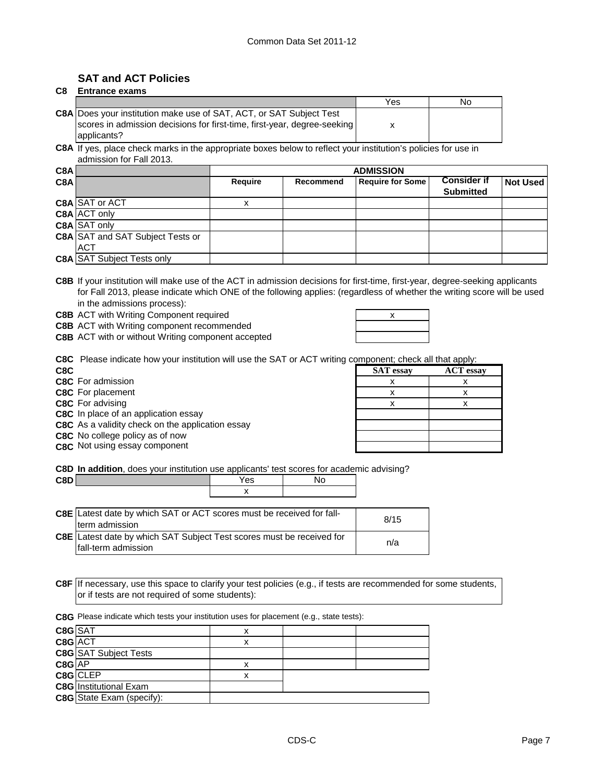# **SAT and ACT Policies**

| C <sub>8</sub><br><b>Entrance exams</b> |
|-----------------------------------------|
|-----------------------------------------|

|                                                                            | Yes | No |
|----------------------------------------------------------------------------|-----|----|
| <b>C8A</b> Does your institution make use of SAT, ACT, or SAT Subject Test |     |    |
| scores in admission decisions for first-time, first-year, degree-seeking   |     |    |
| applicants?                                                                |     |    |

**C8A** If yes, place check marks in the appropriate boxes below to reflect your institution's policies for use in admission for Fall 2013.

| C8A |                                         |         | <b>ADMISSION</b> |                         |                    |          |  |  |
|-----|-----------------------------------------|---------|------------------|-------------------------|--------------------|----------|--|--|
| C8A |                                         | Require | Recommend        | <b>Require for Some</b> | <b>Consider if</b> | Not Used |  |  |
|     |                                         |         |                  |                         | <b>Submitted</b>   |          |  |  |
|     | <b>C8A SAT or ACT</b>                   |         |                  |                         |                    |          |  |  |
|     | <b>C8A ACT only</b>                     |         |                  |                         |                    |          |  |  |
|     | C8A SAT only                            |         |                  |                         |                    |          |  |  |
|     | <b>C8A</b> SAT and SAT Subject Tests or |         |                  |                         |                    |          |  |  |
|     | ACT                                     |         |                  |                         |                    |          |  |  |
|     | <b>C8A SAT Subject Tests only</b>       |         |                  |                         |                    |          |  |  |

**C8B** If your institution will make use of the ACT in admission decisions for first-time, first-year, degree-seeking applicants for Fall 2013, please indicate which ONE of the following applies: (regardless of whether the writing score will be used in the admissions process):

**C8B** ACT with Writing Component required **ACT 2006** 2008 2012 2022

**C8B** ACT with Writing component recommended

**C8B** ACT with or without Writing component accepted

|     | C8C Please indicate how your institution will use the SAT or ACT writing component; check all that apply: |                  |                |
|-----|-----------------------------------------------------------------------------------------------------------|------------------|----------------|
| C8C |                                                                                                           | <b>SAT</b> essay | <b>ACT</b> ess |

|                                                  |                  | .                |
|--------------------------------------------------|------------------|------------------|
| C8C.                                             | <b>SAT</b> essay | <b>ACT</b> essay |
| C8C For admission                                |                  |                  |
| C8C For placement                                |                  |                  |
| C8C For advising                                 |                  |                  |
| C8C In place of an application essay             |                  |                  |
| C8C As a validity check on the application essay |                  |                  |
| C8C No college policy as of now                  |                  |                  |
| C8C Not using essay component                    |                  |                  |
|                                                  |                  |                  |

**C8D In addition**, does your institution use applicants' test scores for academic advising?

| C8D |                                                                                                             | Yes | No |      |
|-----|-------------------------------------------------------------------------------------------------------------|-----|----|------|
|     |                                                                                                             |     |    |      |
|     |                                                                                                             |     |    |      |
|     | <b>C8E</b> Latest date by which SAT or ACT scores must be received for fall-<br>term admission              |     |    | 8/15 |
|     | <b>C8E</b> Latest date by which SAT Subject Test scores must be received for<br><b>Ifall-term admission</b> |     |    | n/a  |

**C8F** If necessary, use this space to clarify your test policies (e.g., if tests are recommended for some students, or if tests are not required of some students):

**C8G** Please indicate which tests your institution uses for placement (e.g., state tests):

| C8G SAT |                                  | х |  |
|---------|----------------------------------|---|--|
| C8G ACT |                                  | x |  |
|         | <b>C8G</b> SAT Subject Tests     |   |  |
| C8G AP  |                                  | x |  |
|         | C8G CLEP                         |   |  |
|         | <b>C8G</b> Institutional Exam    |   |  |
|         | <b>C8G</b> State Exam (specify): |   |  |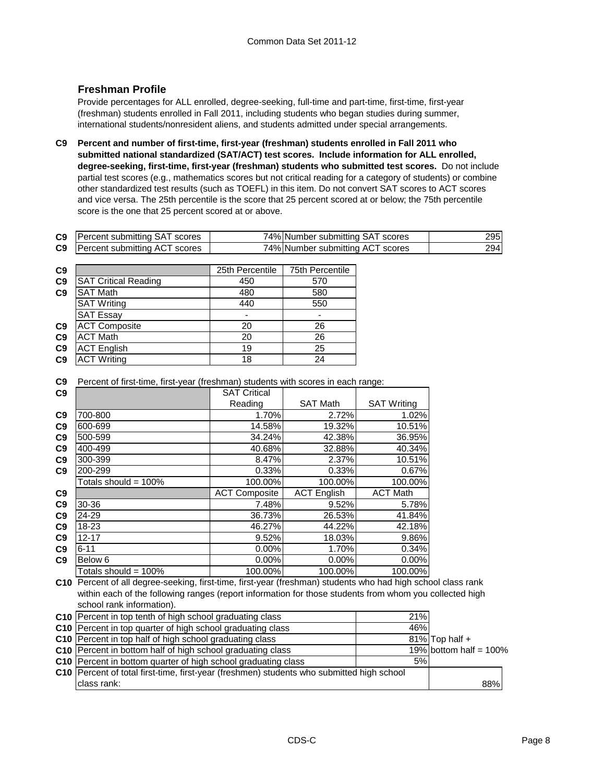# **Freshman Profile**

Provide percentages for ALL enrolled, degree-seeking, full-time and part-time, first-time, first-year (freshman) students enrolled in Fall 2011, including students who began studies during summer, international students/nonresident aliens, and students admitted under special arrangements.

**C9 Percent and number of first-time, first-year (freshman) students enrolled in Fall 2011 who submitted national standardized (SAT/ACT) test scores. Include information for ALL enrolled, degree-seeking, first-time, first-year (freshman) students who submitted test scores.** Do not include partial test scores (e.g., mathematics scores but not critical reading for a category of students) or combine other standardized test results (such as TOEFL) in this item. Do not convert SAT scores to ACT scores and vice versa. The 25th percentile is the score that 25 percent scored at or below; the 75th percentile score is the one that 25 percent scored at or above.

| C9 | <b>IPercent submitting SAT scores</b> | 74% Number submitting SAT scores | 295l |
|----|---------------------------------------|----------------------------------|------|
| C9 | <b>IPercent submitting ACT scores</b> | 74% Number submitting ACT scores | 294  |

| C <sub>9</sub> |                             | 25th Percentile          | 75th Percentile |
|----------------|-----------------------------|--------------------------|-----------------|
| C <sub>9</sub> | <b>SAT Critical Reading</b> | 450                      | 570             |
| C <sub>9</sub> | <b>SAT Math</b>             | 480                      | 580             |
|                | <b>SAT Writing</b>          | 440                      | 550             |
|                | <b>SAT Essay</b>            | $\overline{\phantom{0}}$ |                 |
| C <sub>9</sub> | <b>ACT Composite</b>        | 20                       | 26              |
| C <sub>9</sub> | <b>ACT Math</b>             | 20                       | 26              |
| C <sub>9</sub> | <b>ACT English</b>          | 19                       | 25              |
| C <sub>9</sub> | <b>ACT Writing</b>          | 18                       | 24              |

**C9** Percent of first-time, first-year (freshman) students with scores in each range:

| C9             |                         | <b>SAT Critical</b>  |                    |                    |
|----------------|-------------------------|----------------------|--------------------|--------------------|
|                |                         | Reading              | <b>SAT Math</b>    | <b>SAT Writing</b> |
| C <sub>9</sub> | 700-800                 | 1.70%                | 2.72%              | 1.02%              |
| C <sub>9</sub> | 600-699                 | 14.58%               | 19.32%             | 10.51%             |
| C <sub>9</sub> | 500-599                 | 34.24%               | 42.38%             | 36.95%             |
| C <sub>9</sub> | 400-499                 | 40.68%               | 32.88%             | 40.34%             |
| C <sub>9</sub> | 300-399                 | 8.47%                | 2.37%              | 10.51%             |
| C <sub>9</sub> | 200-299                 | 0.33%                | 0.33%              | 0.67%              |
|                | Totals should = $100\%$ | 100.00%              | 100.00%            | 100.00%            |
| C9             |                         | <b>ACT Composite</b> | <b>ACT English</b> | <b>ACT Math</b>    |
| C <sub>9</sub> | 30-36                   | 7.48%                | 9.52%              | 5.78%              |
| C <sub>9</sub> | 24-29                   | 36.73%               | 26.53%             | 41.84%             |
| C <sub>9</sub> | 18-23                   | 46.27%               | 44.22%             | 42.18%             |
| C <sub>9</sub> | $12 - 17$               | 9.52%                | 18.03%             | 9.86%              |
| C <sub>9</sub> | $6 - 11$                | $0.00\%$             | 1.70%              | 0.34%              |
| C <sub>9</sub> | Below 6                 | 0.00%                | $0.00\%$           | 0.00%              |
|                | Totals should = $100\%$ | 100.00%              | 100.00%            | 100.00%            |

**C10** Percent of all degree-seeking, first-time, first-year (freshman) students who had high school class rank within each of the following ranges (report information for those students from whom you collected high school rank information).

| <b>C10</b> Percent in top tenth of high school graduating class                           | 21% |                           |
|-------------------------------------------------------------------------------------------|-----|---------------------------|
| C10 Percent in top quarter of high school graduating class                                | 46% |                           |
| C10 Percent in top half of high school graduating class                                   |     | $81\%$ Top half +         |
| C10 Percent in bottom half of high school graduating class                                |     | 19% bottom half = $100\%$ |
| C10 Percent in bottom quarter of high school graduating class                             | 5%  |                           |
| C10 Percent of total first-time, first-year (freshmen) students who submitted high school |     |                           |
| class rank:                                                                               |     | 88%                       |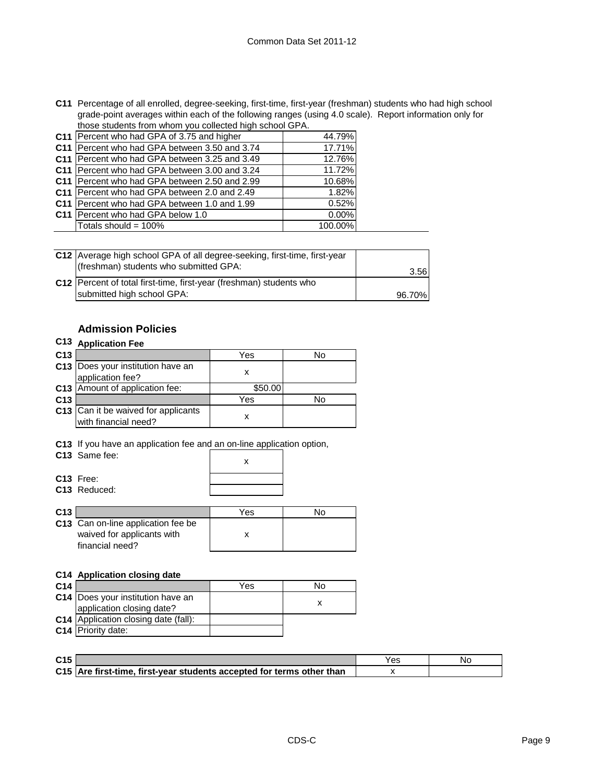**C11** Percentage of all enrolled, degree-seeking, first-time, first-year (freshman) students who had high school grade-point averages within each of the following ranges (using 4.0 scale). Report information only for those students from whom you collected high school GPA.

| C11 Percent who had GPA of 3.75 and higher      | 44.79%   |
|-------------------------------------------------|----------|
| C11 Percent who had GPA between 3.50 and 3.74   | 17.71%   |
| C11 Percent who had GPA between 3.25 and 3.49   | 12.76%   |
| C11   Percent who had GPA between 3.00 and 3.24 | 11.72%   |
| C11 Percent who had GPA between 2.50 and 2.99   | 10.68%   |
| C11 Percent who had GPA between 2.0 and 2.49    | 1.82%    |
| C11 Percent who had GPA between 1.0 and 1.99    | 0.52%    |
| C11 Percent who had GPA below 1.0               | $0.00\%$ |
| Totals should = 100%                            | 100.00%  |

| C12 Average high school GPA of all degree-seeking, first-time, first-year<br>(freshman) students who submitted GPA: | 3.56   |
|---------------------------------------------------------------------------------------------------------------------|--------|
| C12 Percent of total first-time, first-year (freshman) students who<br>submitted high school GPA:                   | 96.70% |

# **Admission Policies**

# **C13 Application Fee**

| C <sub>13</sub> |                                                       | Yes     | No |
|-----------------|-------------------------------------------------------|---------|----|
|                 | C13 Does your institution have an<br>application fee? |         |    |
|                 | C13 Amount of application fee:                        | \$50.00 |    |
| C <sub>13</sub> |                                                       | Yes     | N٥ |
|                 | C13 Can it be waived for applicants                   |         |    |
|                 | with financial need?                                  |         |    |

**C13** If you have an application fee and an on-line application option,

|  |   | ╯ |
|--|---|---|
|  | x |   |
|  |   |   |
|  |   |   |

| C <sub>13</sub> Free:    |
|--------------------------|
| C <sub>13</sub> Reduced: |

| C <sub>13</sub> |                                                                                     | Yes | חצ |
|-----------------|-------------------------------------------------------------------------------------|-----|----|
|                 | C13 Can on-line application fee be<br>waived for applicants with<br>financial need? |     |    |

## **C14 Application closing date**

| C <sub>14</sub> |                                             | Yes | N٥ |
|-----------------|---------------------------------------------|-----|----|
|                 | C14 Does your institution have an           |     |    |
|                 | application closing date?                   |     |    |
|                 | <b>C14</b> Application closing date (fall): |     |    |
|                 | <b>C14</b> Priority date:                   |     |    |

| C <sub>15</sub> |                                                                       |  |
|-----------------|-----------------------------------------------------------------------|--|
|                 | C15 Are first-time, first-year students accepted for terms other than |  |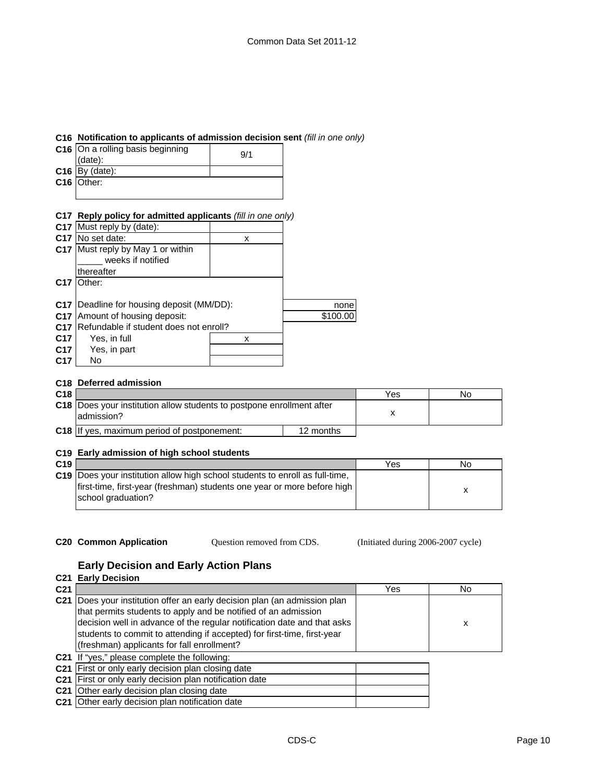### **C16 Notification to applicants of admission decision sent** *(fill in one only)*

| C16 On a rolling basis beginning<br>(data): | Q/1 |
|---------------------------------------------|-----|
| $C16$ By (date):                            |     |
| C16 Other:                                  |     |
|                                             |     |

#### **C17 Reply policy for admitted applicants** *(fill in one only)*

| C <sub>17</sub> | Must reply by (date):                  |   |          |
|-----------------|----------------------------------------|---|----------|
| C <sub>17</sub> | No set date:                           | х |          |
| C <sub>17</sub> | Must reply by May 1 or within          |   |          |
|                 | weeks if notified                      |   |          |
|                 | thereafter                             |   |          |
| C <sub>17</sub> | Other:                                 |   |          |
|                 |                                        |   |          |
| C <sub>17</sub> | Deadline for housing deposit (MM/DD):  |   | none     |
| C <sub>17</sub> | Amount of housing deposit:             |   | \$100.00 |
| C <sub>17</sub> | Refundable if student does not enroll? |   |          |
| C <sub>17</sub> | Yes, in full                           | х |          |
| C <sub>17</sub> | Yes, in part                           |   |          |
| C <sub>17</sub> | No                                     |   |          |
|                 |                                        |   |          |

#### **C18 Deferred admission**

| C <sub>18</sub> |                                                                                       |           | Yes | Νo |
|-----------------|---------------------------------------------------------------------------------------|-----------|-----|----|
|                 | C18  Does your institution allow students to postpone enrollment after<br>ladmission? |           |     |    |
|                 | <b>C18</b> If yes, maximum period of postponement:                                    | 12 months |     |    |

#### **C19 Early admission of high school students**

| C <sub>19</sub> |                                                                                               | Yes | No |
|-----------------|-----------------------------------------------------------------------------------------------|-----|----|
|                 | C19 Does your institution allow high school students to enroll as full-time,                  |     |    |
|                 | first-time, first-year (freshman) students one year or more before high<br>school graduation? |     |    |

Question removed from CDS.

**C20 Common Application Question removed from CDS.** (Initiated during 2006-2007 cycle)

# **Early Decision and Early Action Plans**

| C <sub>21</sub> Early Decision |  |
|--------------------------------|--|
|                                |  |

| C <sub>21</sub> |                                                                                                                                                                                                                                                                                                                                             | Yes | No |
|-----------------|---------------------------------------------------------------------------------------------------------------------------------------------------------------------------------------------------------------------------------------------------------------------------------------------------------------------------------------------|-----|----|
| C <sub>21</sub> | Does your institution offer an early decision plan (an admission plan<br>that permits students to apply and be notified of an admission<br>decision well in advance of the regular notification date and that asks<br>students to commit to attending if accepted) for first-time, first-year<br>(freshman) applicants for fall enrollment? |     | x  |
|                 | C21 If "yes," please complete the following:                                                                                                                                                                                                                                                                                                |     |    |
|                 | C21 First or only early decision plan closing date                                                                                                                                                                                                                                                                                          |     |    |
|                 | C21 First or only early decision plan notification date                                                                                                                                                                                                                                                                                     |     |    |
|                 | C21 Other early decision plan closing date                                                                                                                                                                                                                                                                                                  |     |    |
|                 | C21 Other early decision plan notification date                                                                                                                                                                                                                                                                                             |     |    |
|                 |                                                                                                                                                                                                                                                                                                                                             |     |    |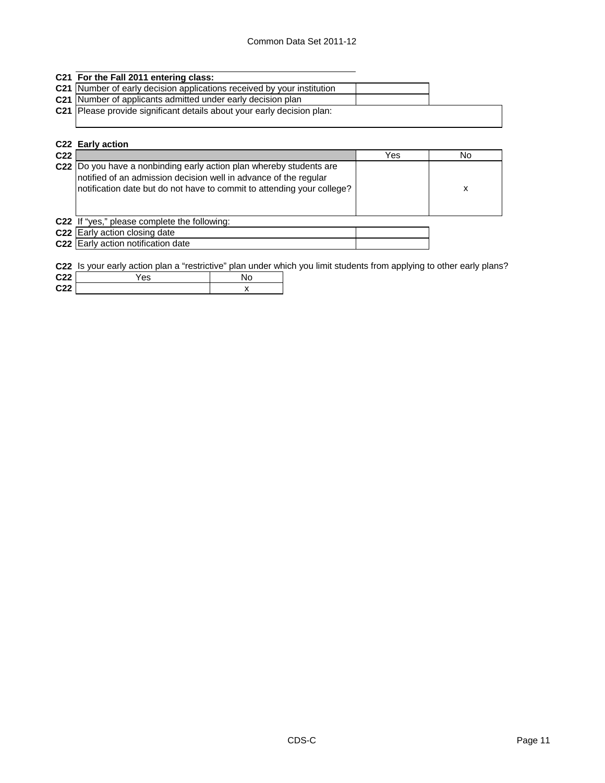|                 | C21 For the Fall 2011 entering class:                                         |     |    |
|-----------------|-------------------------------------------------------------------------------|-----|----|
|                 | <b>C21</b> Number of early decision applications received by your institution |     |    |
|                 | C21 Number of applicants admitted under early decision plan                   |     |    |
|                 | C21 Please provide significant details about your early decision plan:        |     |    |
|                 |                                                                               |     |    |
|                 |                                                                               |     |    |
|                 |                                                                               |     |    |
|                 | C22 Early action                                                              |     |    |
| C <sub>22</sub> |                                                                               | Yes | No |
|                 | C22  Do you have a nonbinding early action plan whereby students are          |     |    |

| C22 If "yes," please complete the following:   |  |
|------------------------------------------------|--|
| <b>C22</b> Early action closing date           |  |
| C <sub>22</sub> Early action notification date |  |

notification date but do not have to commit to attending your college?

**C22** Is your early action plan a "restrictive" plan under which you limit students from applying to other early plans?

| C <sub>22</sub> | es |  |
|-----------------|----|--|
| 0.22            |    |  |

x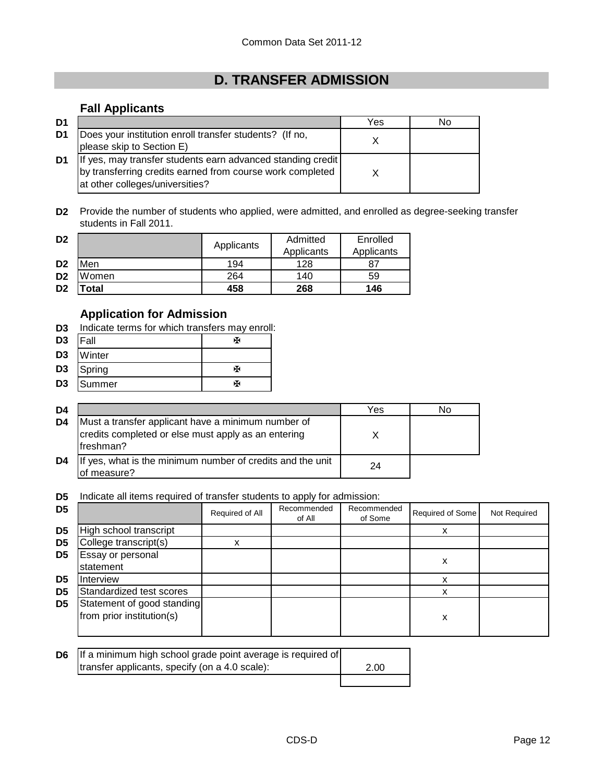# **D. TRANSFER ADMISSION**

# **Fall Applicants**

| D <sub>1</sub> |                                                                                                                                                             | Yes | No |
|----------------|-------------------------------------------------------------------------------------------------------------------------------------------------------------|-----|----|
| D1             | Does your institution enroll transfer students? (If no,<br>please skip to Section E)                                                                        |     |    |
| D1             | If yes, may transfer students earn advanced standing credit<br>by transferring credits earned from course work completed<br>at other colleges/universities? |     |    |

**D2** Provide the number of students who applied, were admitted, and enrolled as degree-seeking transfer students in Fall 2011.

| D <sub>2</sub> |       | Applicants | Admitted   | Enrolled   |
|----------------|-------|------------|------------|------------|
|                |       |            | Applicants | Applicants |
| D <sub>2</sub> | Men   | 194        | 128        |            |
| D <sub>2</sub> | Women | 264        | 140        | 59         |
| D <sub>2</sub> | 'otal | 458        | 268        | 146        |

# **Application for Admission**

**D3** Indicate terms for which transfers may enroll:

| D <sub>3</sub> | <b>Fall</b> |  |
|----------------|-------------|--|
| D <sub>3</sub> | Winter      |  |
|                |             |  |

- D3 Spring Beau and Beau and Beau and Beau and Beau and Beau and Beau and Beau and Beau and Beau and Beau and Beau and Beau and Beau and Beau and Beau and Beau and Beau and Beau and Beau and Beau and Beau and Beau and Beau
- **D3** Summer

| D <sub>4</sub> |                                                                                                                        | Yes | No |
|----------------|------------------------------------------------------------------------------------------------------------------------|-----|----|
| D <sub>4</sub> | Must a transfer applicant have a minimum number of<br>credits completed or else must apply as an entering<br>freshman? |     |    |
| D4             | If yes, what is the minimum number of credits and the unit<br>of measure?                                              | 24  |    |

# **D5** Indicate all items required of transfer students to apply for admission:

| D <sub>5</sub> |                                                         | Required of All | Recommended<br>of All | Recommended<br>of Some | Required of Some | Not Required |
|----------------|---------------------------------------------------------|-----------------|-----------------------|------------------------|------------------|--------------|
| D <sub>5</sub> | High school transcript                                  |                 |                       |                        | x                |              |
| D <sub>5</sub> | College transcript(s)                                   | x               |                       |                        |                  |              |
| D <sub>5</sub> | Essay or personal<br>statement                          |                 |                       |                        | x                |              |
| D5             | Interview                                               |                 |                       |                        | x                |              |
| D <sub>5</sub> | Standardized test scores                                |                 |                       |                        | x                |              |
| D <sub>5</sub> | Statement of good standing<br>from prior institution(s) |                 |                       |                        | x                |              |

| <b>D6</b> If a minimum high school grade point average is required of |      |
|-----------------------------------------------------------------------|------|
| transfer applicants, specify (on a 4.0 scale):                        | 2.00 |
|                                                                       |      |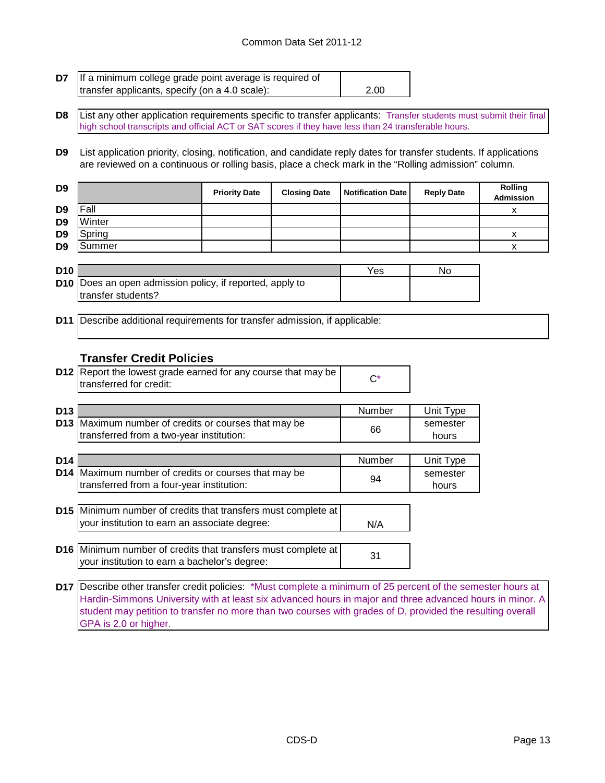## Common Data Set 2011-12

| <b>D7</b> If a minimum college grade point average is required of |      |
|-------------------------------------------------------------------|------|
| transfer applicants, specify (on a 4.0 scale):                    | 2.00 |

**D8** List any other application requirements specific to transfer applicants: Transfer students must submit their final high school transcripts and official ACT or SAT scores if they have less than 24 transferable hours.

**D9** List application priority, closing, notification, and candidate reply dates for transfer students. If applications are reviewed on a continuous or rolling basis, place a check mark in the "Rolling admission" column.

| D <sub>9</sub> |        | <b>Priority Date</b> | <b>Closing Date</b> | <b>Notification Date</b> | <b>Reply Date</b> | Rolling<br><b>Admission</b> |
|----------------|--------|----------------------|---------------------|--------------------------|-------------------|-----------------------------|
| D <sub>9</sub> | Fall   |                      |                     |                          |                   |                             |
| D <sub>9</sub> | Winter |                      |                     |                          |                   |                             |
| D <sub>9</sub> | Spring |                      |                     |                          |                   |                             |
| D <sub>9</sub> | Summer |                      |                     |                          |                   |                             |

| <b>D10</b> |                                                                 | Yes | No |
|------------|-----------------------------------------------------------------|-----|----|
|            | <b>D10</b> Does an open admission policy, if reported, apply to |     |    |
|            | Itransfer students?                                             |     |    |

**D11** Describe additional requirements for transfer admission, if applicable:

# **Transfer Credit Policies**

your institution to earn an associate degree:

| <b>D12</b> Report the lowest grade earned for any course that may be | $\mathsf{A}^*$ |
|----------------------------------------------------------------------|----------------|
| transferred for credit:                                              |                |

| <b>D13</b> |                                                             | Number | Unit Tvpe |
|------------|-------------------------------------------------------------|--------|-----------|
|            | <b>D13</b> Maximum number of credits or courses that may be | 66     | semester  |
|            | Itransferred from a two-year institution:                   |        | hours     |

| D <sub>14</sub> |                                                                                                          | Number | Unit Type         |
|-----------------|----------------------------------------------------------------------------------------------------------|--------|-------------------|
|                 | <b>D14</b> Maximum number of credits or courses that may be<br>transferred from a four-year institution: | 94     | semester<br>hours |
|                 | <b>D15</b> Minimum number of credits that transfers must complete at                                     |        |                   |

| D16 Minimum number of credits that transfers must complete at | 31 |
|---------------------------------------------------------------|----|
| your institution to earn a bachelor's degree:                 |    |

**D17** Describe other transfer credit policies: \*Must complete a minimum of 25 percent of the semester hours at Hardin-Simmons University with at least six advanced hours in major and three advanced hours in minor. A student may petition to transfer no more than two courses with grades of D, provided the resulting overall GPA is 2.0 or higher.

N/A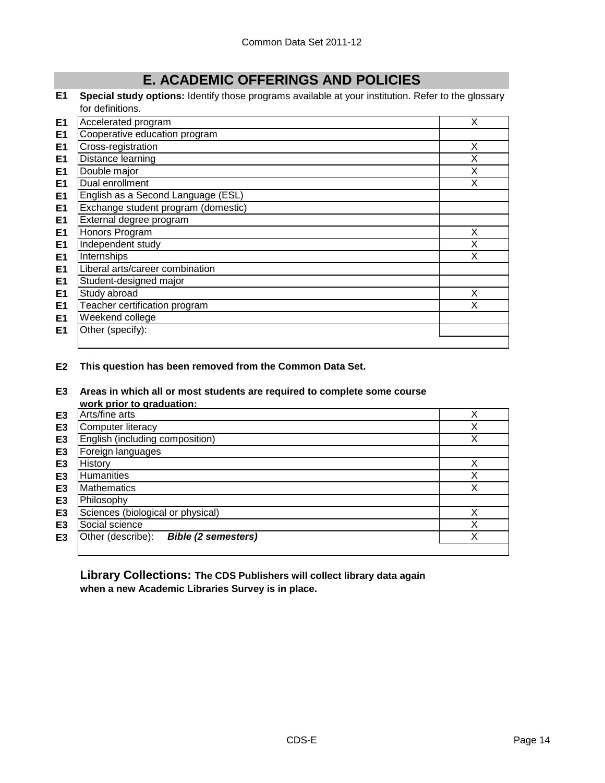# **E. ACADEMIC OFFERINGS AND POLICIES**

**E1 Special study options:** Identify those programs available at your institution. Refer to the glossary for definitions.

| E1             | Accelerated program                 | X |
|----------------|-------------------------------------|---|
| E1             | Cooperative education program       |   |
| E <sub>1</sub> | Cross-registration                  | X |
| E <sub>1</sub> | Distance learning                   | X |
| E1             | Double major                        | X |
| E1             | Dual enrollment                     | X |
| E <sub>1</sub> | English as a Second Language (ESL)  |   |
| E <sub>1</sub> | Exchange student program (domestic) |   |
| E <sub>1</sub> | External degree program             |   |
| E <sub>1</sub> | Honors Program                      | X |
| E <sub>1</sub> | Independent study                   | X |
| E <sub>1</sub> | Internships                         | X |
| E <sub>1</sub> | Liberal arts/career combination     |   |
| E <sub>1</sub> | Student-designed major              |   |
| E <sub>1</sub> | Study abroad                        | X |
| E <sub>1</sub> | Teacher certification program       | X |
| E <sub>1</sub> | Weekend college                     |   |
| E1             | Other (specify):                    |   |
|                |                                     |   |

**E2 This question has been removed from the Common Data Set.**

#### **E3 Areas in which all or most students are required to complete some course work prior to graduation:**

|                | work prior to graduation.                       |        |
|----------------|-------------------------------------------------|--------|
| E3             | Arts/fine arts                                  |        |
| E3             | Computer literacy                               | v<br>∧ |
| E <sub>3</sub> | English (including composition)                 | X      |
| E3             | Foreign languages                               |        |
| E3             | History                                         | Χ      |
| E3             | Humanities                                      |        |
| E3             | <b>Mathematics</b>                              |        |
| E <sub>3</sub> | Philosophy                                      |        |
| E <sub>3</sub> | Sciences (biological or physical)               |        |
| E <sub>3</sub> | Social science                                  |        |
| E <sub>3</sub> | Other (describe):<br><b>Bible (2 semesters)</b> |        |
|                |                                                 |        |

**Library Collections: The CDS Publishers will collect library data again when a new Academic Libraries Survey is in place.**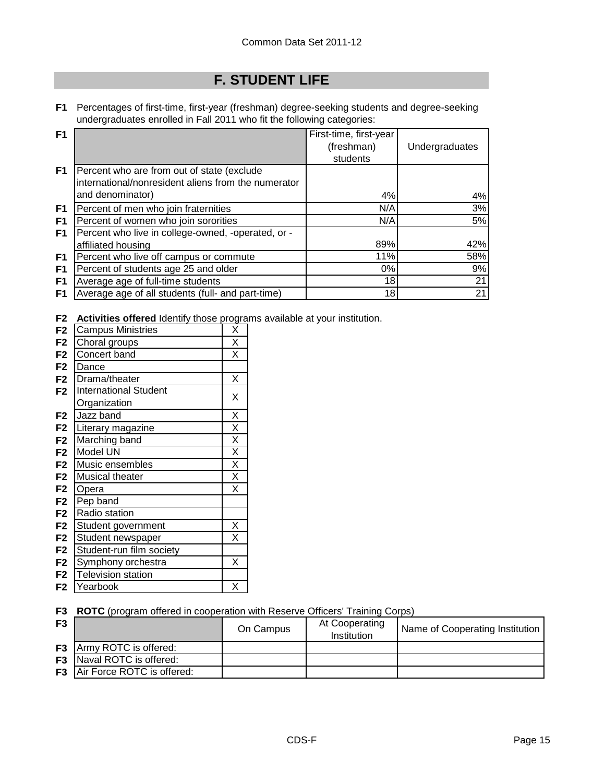# **F. STUDENT LIFE**

**F1** Percentages of first-time, first-year (freshman) degree-seeking students and degree-seeking undergraduates enrolled in Fall 2011 who fit the following categories:

| F <sub>1</sub> |                                                     | First-time, first-year |                |
|----------------|-----------------------------------------------------|------------------------|----------------|
|                |                                                     | (freshman)             | Undergraduates |
|                |                                                     | students               |                |
| F1             | Percent who are from out of state (exclude          |                        |                |
|                | international/nonresident aliens from the numerator |                        |                |
|                | and denominator)                                    | 4%                     | 4%             |
| F <sub>1</sub> | Percent of men who join fraternities                | N/A                    | 3%             |
| F1             | Percent of women who join sororities                | N/A                    | 5%             |
| F1             | Percent who live in college-owned, -operated, or -  |                        |                |
|                | affiliated housing                                  | 89%                    | 42%            |
| F <sub>1</sub> | Percent who live off campus or commute              | 11%                    | 58%            |
| F1             | Percent of students age 25 and older                | 0%                     | 9%             |
| F1             | Average age of full-time students                   | 18                     | 21             |
| F1             | Average age of all students (full- and part-time)   | 18                     | 21             |

**F2 Activities offered** Identify those programs available at your institution.

| F <sub>2</sub> | <b>Campus Ministries</b>     | Χ                       |
|----------------|------------------------------|-------------------------|
| F <sub>2</sub> | Choral groups                | $\overline{\mathsf{x}}$ |
| F <sub>2</sub> | Concert band                 | X                       |
| F <sub>2</sub> | Dance                        |                         |
| F <sub>2</sub> | Drama/theater                | X                       |
| F <sub>2</sub> | <b>International Student</b> | Χ                       |
|                | Organization                 |                         |
| F <sub>2</sub> | Jazz band                    | X                       |
| F <sub>2</sub> | Literary magazine            | $\overline{\mathsf{x}}$ |
| F <sub>2</sub> | Marching band                | $\overline{\mathsf{x}}$ |
| F <sub>2</sub> | Model UN                     | $\overline{\mathsf{x}}$ |
| F <sub>2</sub> | Music ensembles              | $\overline{\mathsf{x}}$ |
| F <sub>2</sub> | <b>Musical theater</b>       | $\overline{\mathsf{x}}$ |
| F <sub>2</sub> | Opera                        | X                       |
| F <sub>2</sub> | Pep band                     |                         |
| F <sub>2</sub> | Radio station                |                         |
| F <sub>2</sub> | Student government           | Χ                       |
| F <sub>2</sub> | Student newspaper            | Χ                       |
| F <sub>2</sub> | Student-run film society     |                         |
| F <sub>2</sub> | Symphony orchestra           | Χ                       |
| F <sub>2</sub> | <b>Television station</b>    |                         |
| F <sub>2</sub> | Yearbook                     | Χ                       |

# **F3 ROTC** (program offered in cooperation with Reserve Officers' Training Corps)

| F <sub>3</sub> |                                      | On Campus | At Cooperating<br>Institution | Name of Cooperating Institution |
|----------------|--------------------------------------|-----------|-------------------------------|---------------------------------|
|                | <b>F3</b> Army ROTC is offered:      |           |                               |                                 |
|                | <b>F3</b> Naval ROTC is offered:     |           |                               |                                 |
|                | <b>F3</b> Air Force ROTC is offered: |           |                               |                                 |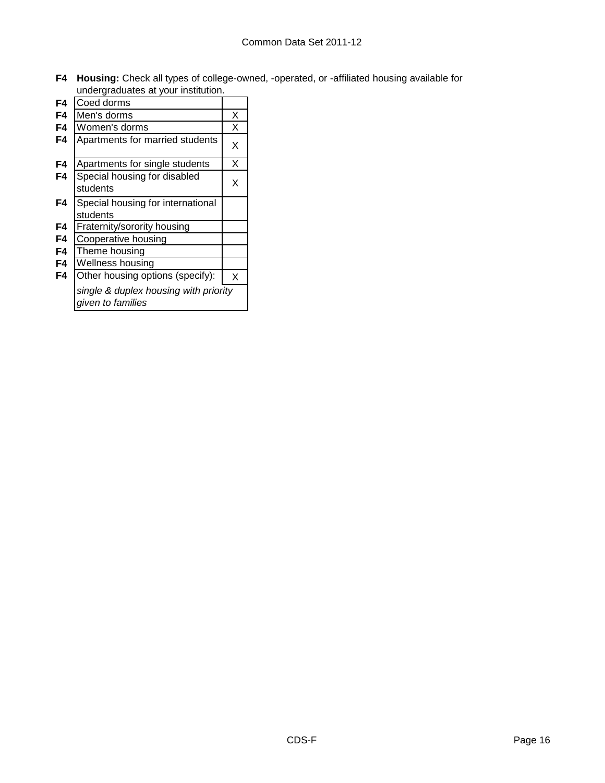**F4 Housing:** Check all types of college-owned, -operated, or -affiliated housing available for undergraduates at your institution.

| F4 | Coed dorms                                                 |   |
|----|------------------------------------------------------------|---|
| F4 | Men's dorms                                                | Х |
| F4 | Women's dorms                                              | Х |
| F4 | Apartments for married students                            | X |
| F4 | Apartments for single students                             | Χ |
| F4 | Special housing for disabled<br>students                   | Χ |
| F4 | Special housing for international<br>students              |   |
| F4 | Fraternity/sorority housing                                |   |
| F4 | Cooperative housing                                        |   |
| F4 | Theme housing                                              |   |
| F4 | Wellness housing                                           |   |
| F4 | Other housing options (specify):                           | x |
|    | single & duplex housing with priority<br>given to families |   |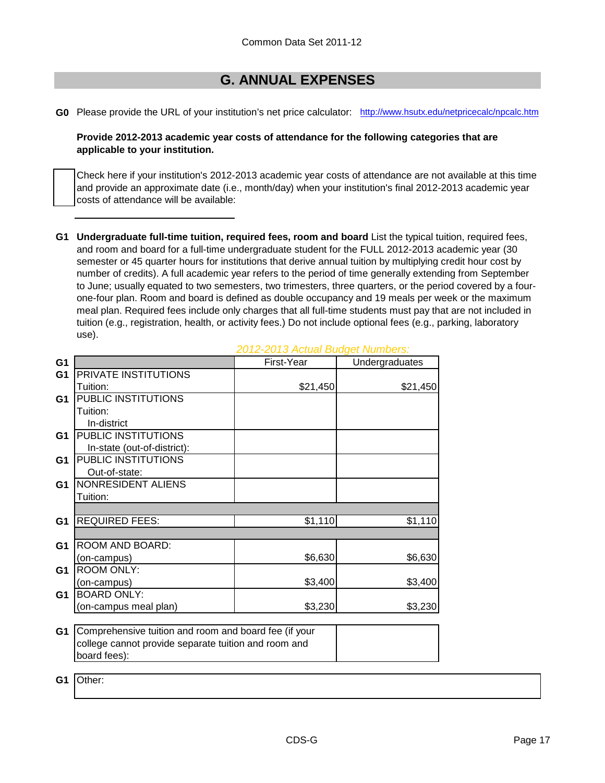# **G. ANNUAL EXPENSES**

**G0** Please provide the URL of your institution's net price calculator: [http://www.hsutx.edu](http://www.hsutx.edu/netpricecalc/npcalc.htm)/netpricecalc/npcalc.htm

# **Provide 2012-2013 academic year costs of attendance for the following categories that are applicable to your institution.**

Check here if your institution's 2012-2013 academic year costs of attendance are not available at this time and provide an approximate date (i.e., month/day) when your institution's final 2012-2013 academic year costs of attendance will be available:

**G1 Undergraduate full-time tuition, required fees, room and board** List the typical tuition, required fees, and room and board for a full-time undergraduate student for the FULL 2012-2013 academic year (30 semester or 45 quarter hours for institutions that derive annual tuition by multiplying credit hour cost by number of credits). A full academic year refers to the period of time generally extending from September to June; usually equated to two semesters, two trimesters, three quarters, or the period covered by a fourone-four plan. Room and board is defined as double occupancy and 19 meals per week or the maximum meal plan. Required fees include only charges that all full-time students must pay that are not included in tuition (e.g., registration, health, or activity fees.) Do not include optional fees (e.g., parking, laboratory use).

| G <sub>1</sub> |                                                       | First-Year | Undergraduates |
|----------------|-------------------------------------------------------|------------|----------------|
| G <sub>1</sub> | PRIVATE INSTITUTIONS                                  |            |                |
|                | Tuition:                                              | \$21,450   | \$21,450       |
| G <sub>1</sub> | PUBLIC INSTITUTIONS                                   |            |                |
|                | Tuition:                                              |            |                |
|                | In-district                                           |            |                |
| G <sub>1</sub> | PUBLIC INSTITUTIONS                                   |            |                |
|                | In-state (out-of-district):                           |            |                |
| G <sub>1</sub> | PUBLIC INSTITUTIONS                                   |            |                |
|                | Out-of-state:                                         |            |                |
| G <sub>1</sub> | NONRESIDENT ALIENS                                    |            |                |
|                | Tuition:                                              |            |                |
|                |                                                       |            |                |
| G <sub>1</sub> | <b>REQUIRED FEES:</b>                                 | \$1,110    | \$1,110        |
|                |                                                       |            |                |
| G <sub>1</sub> | ROOM AND BOARD:                                       |            |                |
|                | (on-campus)                                           | \$6,630    | \$6,630        |
| G1             | <b>ROOM ONLY:</b>                                     |            |                |
|                | (on-campus)                                           | \$3,400    | \$3,400        |
| G <sub>1</sub> | <b>BOARD ONLY:</b>                                    |            |                |
|                | (on-campus meal plan)                                 | \$3,230    | \$3,230        |
|                |                                                       |            |                |
| G <sub>1</sub> | Comprehensive tuition and room and board fee (if your |            |                |
|                | college cannot provide separate tuition and room and  |            |                |
|                | board fees):                                          |            |                |
|                |                                                       |            |                |
| G <sub>1</sub> | Other:                                                |            |                |

# *2012-2013 Actual Budget Numbers:*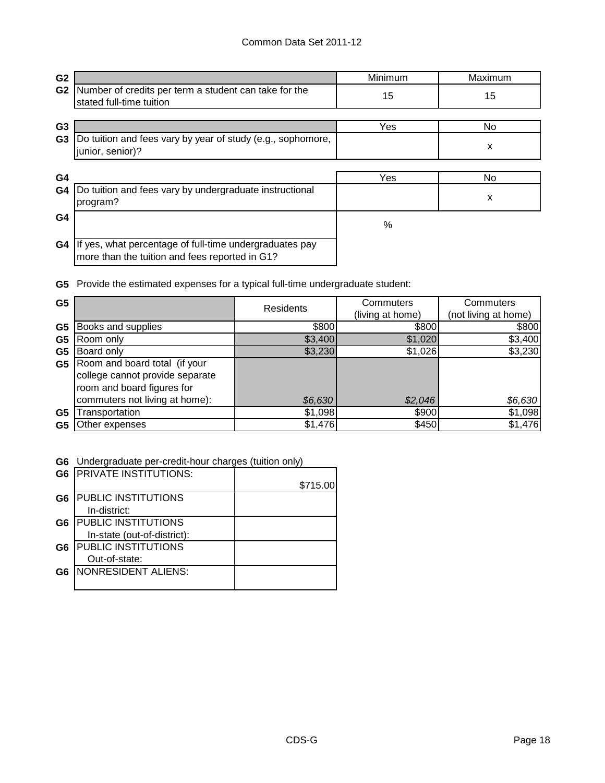| G <sub>2</sub> |                                                                                                           | Minimum | Maximum |
|----------------|-----------------------------------------------------------------------------------------------------------|---------|---------|
| G <sub>2</sub> | Number of credits per term a student can take for the<br>stated full-time tuition                         | 15      | 15      |
|                |                                                                                                           |         |         |
| G <sub>3</sub> |                                                                                                           | Yes     | No      |
| G <sub>3</sub> | Do tuition and fees vary by year of study (e.g., sophomore,<br>junior, senior)?                           |         | X       |
| G4             |                                                                                                           | Yes     | No.     |
|                |                                                                                                           |         |         |
| G4             | Do tuition and fees vary by undergraduate instructional<br>program?                                       |         | x       |
| G4             |                                                                                                           | %       |         |
| G <sub>4</sub> | If yes, what percentage of full-time undergraduates pay<br>more than the tuition and fees reported in G1? |         |         |

**G5** Provide the estimated expenses for a typical full-time undergraduate student:

| G <sub>5</sub> |                                 | Residents | Commuters        | Commuters            |
|----------------|---------------------------------|-----------|------------------|----------------------|
|                |                                 |           | (living at home) | (not living at home) |
| G <sub>5</sub> | Books and supplies              | \$800     | \$800            | \$800                |
| G <sub>5</sub> | Room only                       | \$3,400   | \$1,020          | \$3,400              |
| G <sub>5</sub> | Board only                      | \$3,230   | \$1,026          | \$3,230              |
| G5             | Room and board total (if your   |           |                  |                      |
|                | college cannot provide separate |           |                  |                      |
|                | room and board figures for      |           |                  |                      |
|                | commuters not living at home):  | \$6,630   | \$2,046          | \$6,630              |
| G5             | Transportation                  | \$1,098   | \$900            | \$1,098              |
| G5             | Other expenses                  | \$1,476   | \$450            | \$1,476              |

**G6** Undergraduate per-credit-hour charges (tuition only)

|    | <b>G6 IPRIVATE INSTITUTIONS:</b> |          |
|----|----------------------------------|----------|
|    |                                  | \$715.00 |
| G6 | <b>PUBLIC INSTITUTIONS</b>       |          |
|    | In-district:                     |          |
| G6 | <b>PUBLIC INSTITUTIONS</b>       |          |
|    | In-state (out-of-district):      |          |
| G6 | <b>PUBLIC INSTITUTIONS</b>       |          |
|    | Out-of-state:                    |          |
| G6 | NONRESIDENT ALIENS:              |          |
|    |                                  |          |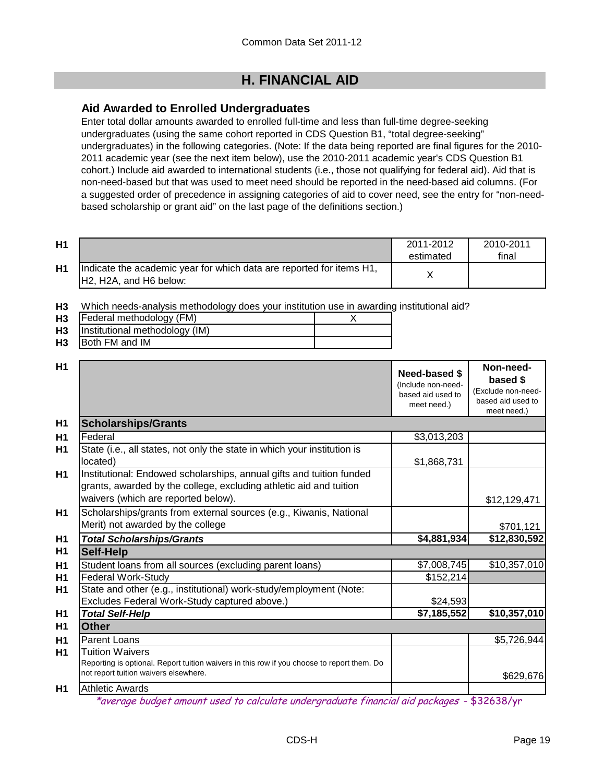# **H. FINANCIAL AID**

# **Aid Awarded to Enrolled Undergraduates**

Enter total dollar amounts awarded to enrolled full-time and less than full-time degree-seeking undergraduates (using the same cohort reported in CDS Question B1, "total degree-seeking" undergraduates) in the following categories. (Note: If the data being reported are final figures for the 2010- 2011 academic year (see the next item below), use the 2010-2011 academic year's CDS Question B1 cohort.) Include aid awarded to international students (i.e., those not qualifying for federal aid). Aid that is non-need-based but that was used to meet need should be reported in the need-based aid columns. (For a suggested order of precedence in assigning categories of aid to cover need, see the entry for "non-needbased scholarship or grant aid" on the last page of the definitions section.)

| H1 |                                                                                                 | 2011-2012<br>estimated | 2010-2011<br>final |
|----|-------------------------------------------------------------------------------------------------|------------------------|--------------------|
| H1 | Indicate the academic year for which data are reported for items H1,<br>IH2, H2A, and H6 below: |                        |                    |

**H3** Which needs-analysis methodology does your institution use in awarding institutional aid?

| <b>H3</b>      | Federal methodology (FM)            |  |
|----------------|-------------------------------------|--|
|                | H3   Institutional methodology (IM) |  |
| H <sub>3</sub> | Both FM and IM                      |  |

| H1             |                                                                                                                                                                                   | <b>Need-based \$</b><br>(Include non-need-<br>based aid used to<br>meet need.) | Non-need-<br>based \$<br>(Exclude non-need-<br>based aid used to<br>meet need.) |
|----------------|-----------------------------------------------------------------------------------------------------------------------------------------------------------------------------------|--------------------------------------------------------------------------------|---------------------------------------------------------------------------------|
| H1             | <b>Scholarships/Grants</b>                                                                                                                                                        |                                                                                |                                                                                 |
| H1             | Federal                                                                                                                                                                           | \$3,013,203                                                                    |                                                                                 |
| H1             | State (i.e., all states, not only the state in which your institution is<br>located)                                                                                              | \$1,868,731                                                                    |                                                                                 |
| H1             | Institutional: Endowed scholarships, annual gifts and tuition funded<br>grants, awarded by the college, excluding athletic aid and tuition<br>waivers (which are reported below). |                                                                                | \$12,129,471                                                                    |
| H1             | Scholarships/grants from external sources (e.g., Kiwanis, National<br>Merit) not awarded by the college                                                                           |                                                                                | \$701,121                                                                       |
| H1             | <b>Total Scholarships/Grants</b>                                                                                                                                                  | \$4,881,934                                                                    | \$12,830,592                                                                    |
| H1             | <b>Self-Help</b>                                                                                                                                                                  |                                                                                |                                                                                 |
| H1             | Student loans from all sources (excluding parent loans)                                                                                                                           | \$7,008,745                                                                    | \$10,357,010                                                                    |
| H1             | <b>Federal Work-Study</b>                                                                                                                                                         | \$152,214                                                                      |                                                                                 |
| H <sub>1</sub> | State and other (e.g., institutional) work-study/employment (Note:                                                                                                                |                                                                                |                                                                                 |
|                | Excludes Federal Work-Study captured above.)                                                                                                                                      | \$24,593                                                                       |                                                                                 |
| H <sub>1</sub> | <b>Total Self-Help</b>                                                                                                                                                            | \$7,185,552                                                                    | \$10,357,010                                                                    |
| H1             | <b>Other</b>                                                                                                                                                                      |                                                                                |                                                                                 |
| H1             | <b>Parent Loans</b>                                                                                                                                                               |                                                                                | \$5,726,944                                                                     |
| <b>H1</b>      | <b>Tuition Waivers</b><br>Reporting is optional. Report tuition waivers in this row if you choose to report them. Do<br>not report tuition waivers elsewhere.                     |                                                                                | \$629,676                                                                       |
| H1             | <b>Athletic Awards</b>                                                                                                                                                            |                                                                                |                                                                                 |

\*average budget amount used to calculate undergraduate financial aid packages - \$32638/yr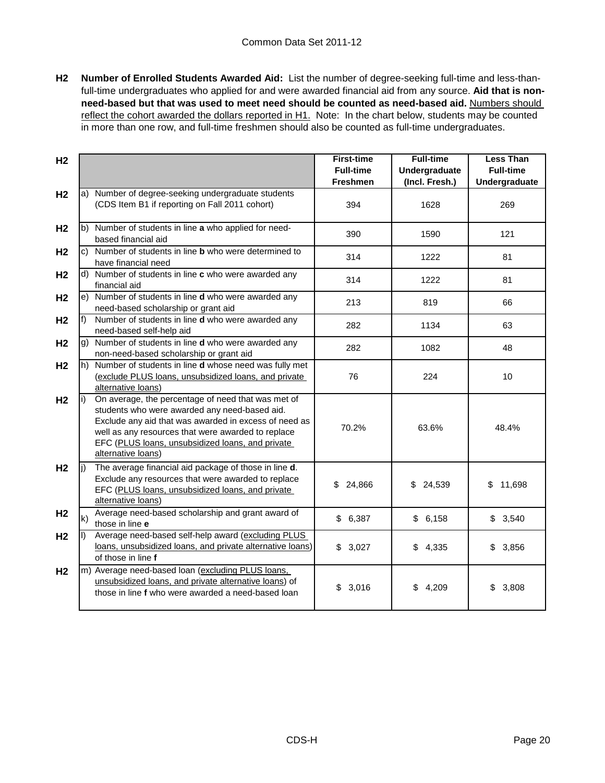**H2 Number of Enrolled Students Awarded Aid:** List the number of degree-seeking full-time and less-thanfull-time undergraduates who applied for and were awarded financial aid from any source. **Aid that is nonneed-based but that was used to meet need should be counted as need-based aid.** Numbers should reflect the cohort awarded the dollars reported in H1. Note: In the chart below, students may be counted in more than one row, and full-time freshmen should also be counted as full-time undergraduates.

| H <sub>2</sub> |              |                                                                                                                                                                                                                                                                                              | <b>First-time</b><br><b>Full-time</b><br><b>Freshmen</b> | <b>Full-time</b><br>Undergraduate<br>(Incl. Fresh.) | <b>Less Than</b><br><b>Full-time</b><br>Undergraduate |
|----------------|--------------|----------------------------------------------------------------------------------------------------------------------------------------------------------------------------------------------------------------------------------------------------------------------------------------------|----------------------------------------------------------|-----------------------------------------------------|-------------------------------------------------------|
| H <sub>2</sub> |              | a) Number of degree-seeking undergraduate students<br>(CDS Item B1 if reporting on Fall 2011 cohort)                                                                                                                                                                                         | 394                                                      | 1628                                                | 269                                                   |
| H <sub>2</sub> |              | b) Number of students in line a who applied for need-<br>based financial aid                                                                                                                                                                                                                 | 390                                                      | 1590                                                | 121                                                   |
| H <sub>2</sub> |              | c) Number of students in line <b>b</b> who were determined to<br>have financial need                                                                                                                                                                                                         | 314                                                      | 1222                                                | 81                                                    |
| H <sub>2</sub> |              | d) Number of students in line c who were awarded any<br>financial aid                                                                                                                                                                                                                        | 314                                                      | 1222                                                | 81                                                    |
| H <sub>2</sub> |              | e) Number of students in line <b>d</b> who were awarded any<br>need-based scholarship or grant aid                                                                                                                                                                                           | 213                                                      | 819                                                 | 66                                                    |
| H <sub>2</sub> | $f$ )        | Number of students in line d who were awarded any<br>need-based self-help aid                                                                                                                                                                                                                | 282                                                      | 1134                                                | 63                                                    |
| H <sub>2</sub> |              | g) Number of students in line <b>d</b> who were awarded any<br>non-need-based scholarship or grant aid                                                                                                                                                                                       | 282                                                      | 1082                                                | 48                                                    |
| H <sub>2</sub> |              | h) Number of students in line d whose need was fully met<br>(exclude PLUS loans, unsubsidized loans, and private<br>alternative loans)                                                                                                                                                       | 76                                                       | 224                                                 | 10                                                    |
| H <sub>2</sub> |              | On average, the percentage of need that was met of<br>students who were awarded any need-based aid.<br>Exclude any aid that was awarded in excess of need as<br>well as any resources that were awarded to replace<br>EFC (PLUS loans, unsubsidized loans, and private<br>alternative loans) | 70.2%                                                    | 63.6%                                               | 48.4%                                                 |
| H <sub>2</sub> | li)          | The average financial aid package of those in line d.<br>Exclude any resources that were awarded to replace<br>EFC (PLUS loans, unsubsidized loans, and private<br>alternative loans)                                                                                                        | \$<br>24,866                                             | \$<br>24,539                                        | 11,698<br>\$                                          |
| H <sub>2</sub> | $\mathsf{k}$ | Average need-based scholarship and grant award of<br>those in line e                                                                                                                                                                                                                         | \$6,387                                                  | \$6,158                                             | \$3,540                                               |
| H <sub>2</sub> |              | Average need-based self-help award (excluding PLUS<br>loans, unsubsidized loans, and private alternative loans)<br>of those in line f                                                                                                                                                        | \$3,027                                                  | \$<br>4,335                                         | \$<br>3,856                                           |
| H <sub>2</sub> |              | m) Average need-based loan (excluding PLUS loans,<br>unsubsidized loans, and private alternative loans) of<br>those in line f who were awarded a need-based loan                                                                                                                             | \$3,016                                                  | \$4,209                                             | \$3,808                                               |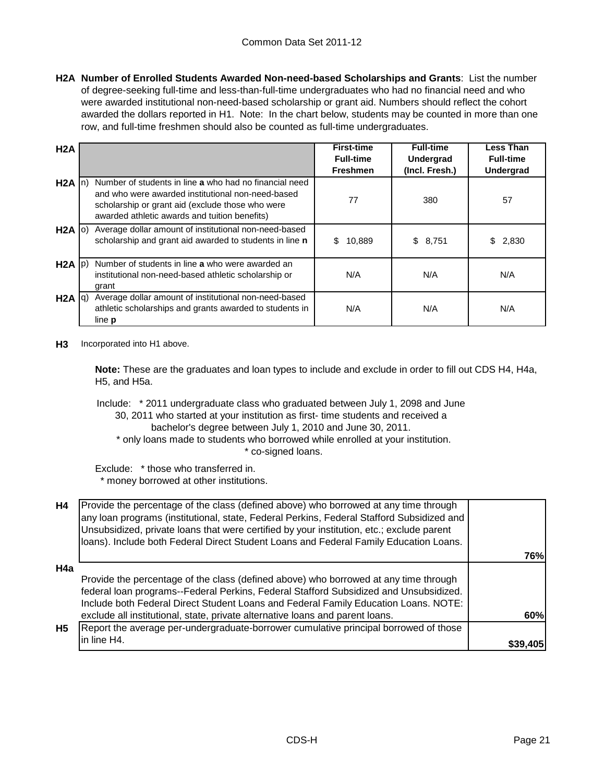**H2A Number of Enrolled Students Awarded Non-need-based Scholarships and Grants**: List the number of degree-seeking full-time and less-than-full-time undergraduates who had no financial need and who were awarded institutional non-need-based scholarship or grant aid. Numbers should reflect the cohort awarded the dollars reported in H1. Note: In the chart below, students may be counted in more than one row, and full-time freshmen should also be counted as full-time undergraduates.

| H2A               |                                                                                                                                                                                                                  | <b>First-time</b><br><b>Full-time</b> | <b>Full-time</b><br>Undergrad | Less Than<br><b>Full-time</b> |
|-------------------|------------------------------------------------------------------------------------------------------------------------------------------------------------------------------------------------------------------|---------------------------------------|-------------------------------|-------------------------------|
|                   |                                                                                                                                                                                                                  | <b>Freshmen</b>                       | (Incl. Fresh.)                | <b>Undergrad</b>              |
| $H2A$ $ n\rangle$ | Number of students in line a who had no financial need<br>and who were awarded institutional non-need-based<br>scholarship or grant aid (exclude those who were<br>awarded athletic awards and tuition benefits) | 77                                    | 380                           | 57                            |
| $H2A$ (0)         | Average dollar amount of institutional non-need-based<br>scholarship and grant aid awarded to students in line n                                                                                                 | 10,889<br>\$.                         | \$8,751                       | 2,830<br>S.                   |
| $H2A$ $ p\rangle$ | Number of students in line a who were awarded an<br>institutional non-need-based athletic scholarship or<br>grant                                                                                                | N/A                                   | N/A                           | N/A                           |
| $H2A  q\rangle$   | Average dollar amount of institutional non-need-based<br>athletic scholarships and grants awarded to students in<br>line <b>p</b>                                                                                | N/A                                   | N/A                           | N/A                           |

**H3** Incorporated into H1 above.

**Note:** These are the graduates and loan types to include and exclude in order to fill out CDS H4, H4a, H5, and H5a.

Include: \* 2011 undergraduate class who graduated between July 1, 2098 and June

- 30, 2011 who started at your institution as first- time students and received a bachelor's degree between July 1, 2010 and June 30, 2011.
- \* only loans made to students who borrowed while enrolled at your institution.

\* co-signed loans.

Exclude: \* those who transferred in. \* money borrowed at other institutions.

| H4              | Provide the percentage of the class (defined above) who borrowed at any time through<br>any loan programs (institutional, state, Federal Perkins, Federal Stafford Subsidized and<br>Unsubsidized, private loans that were certified by your institution, etc.; exclude parent<br>loans). Include both Federal Direct Student Loans and Federal Family Education Loans. |          |
|-----------------|-------------------------------------------------------------------------------------------------------------------------------------------------------------------------------------------------------------------------------------------------------------------------------------------------------------------------------------------------------------------------|----------|
|                 |                                                                                                                                                                                                                                                                                                                                                                         | 76%      |
| H <sub>4a</sub> |                                                                                                                                                                                                                                                                                                                                                                         |          |
|                 | Provide the percentage of the class (defined above) who borrowed at any time through                                                                                                                                                                                                                                                                                    |          |
|                 | federal loan programs--Federal Perkins, Federal Stafford Subsidized and Unsubsidized.                                                                                                                                                                                                                                                                                   |          |
|                 | Include both Federal Direct Student Loans and Federal Family Education Loans. NOTE:                                                                                                                                                                                                                                                                                     |          |
|                 | exclude all institutional, state, private alternative loans and parent loans.                                                                                                                                                                                                                                                                                           | 60%      |
| <b>H5</b>       | Report the average per-undergraduate-borrower cumulative principal borrowed of those                                                                                                                                                                                                                                                                                    |          |
|                 | in line H4.                                                                                                                                                                                                                                                                                                                                                             | \$39,405 |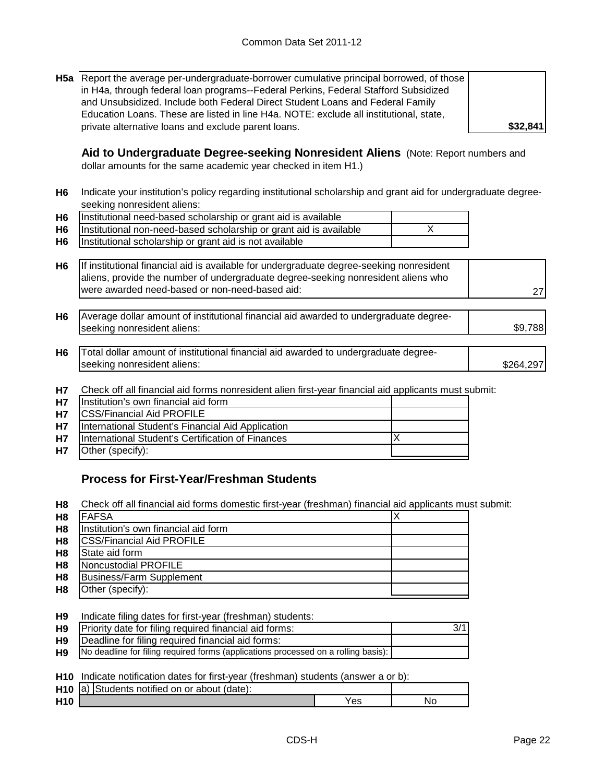**H5a** Report the average per-undergraduate-borrower cumulative principal borrowed, of those in H4a, through federal loan programs--Federal Perkins, Federal Stafford Subsidized and Unsubsidized. Include both Federal Direct Student Loans and Federal Family Education Loans. These are listed in line H4a. NOTE: exclude all institutional, state, private alternative loans and exclude parent loans.

**Aid to Undergraduate Degree-seeking Nonresident Aliens** (Note: Report numbers and dollar amounts for the same academic year checked in item H1.)

**H6** Indicate your institution's policy regarding institutional scholarship and grant aid for undergraduate degreeseeking nonresident aliens:

| H6  Institutional need-based scholarship or grant aid is available      |  |
|-------------------------------------------------------------------------|--|
| H6   Institutional non-need-based scholarship or grant aid is available |  |
| He lootitutional cabalarabin or grapt aid is not available              |  |

**H6** Institutional scholarship or grant aid is not available

- **H6** If institutional financial aid is available for undergraduate degree-seeking nonresident aliens, provide the number of undergraduate degree-seeking nonresident aliens who were awarded need-based or non-need-based aid:
- **H6** \$9,788 Average dollar amount of institutional financial aid awarded to undergraduate degreeseeking nonresident aliens:
- **H6** \$264,297 Total dollar amount of institutional financial aid awarded to undergraduate degreeseeking nonresident aliens:
- **H7** Check off all financial aid forms nonresident alien first-year financial aid applicants must submit:

| <b>H7</b> | Institution's own financial aid form              |  |
|-----------|---------------------------------------------------|--|
| <b>H7</b> | <b>CSS/Financial Aid PROFILE</b>                  |  |
| <b>H7</b> | International Student's Financial Aid Application |  |
| <b>H7</b> | International Student's Certification of Finances |  |
| <b>H7</b> | Other (specify):                                  |  |

# **Process for First-Year/Freshman Students**

**H8** Check off all financial aid forms domestic first-year (freshman) financial aid applicants must submit:

| H <sub>8</sub> | <b>IFAFSA</b>                        |  |
|----------------|--------------------------------------|--|
| H <sub>8</sub> | Institution's own financial aid form |  |
| H <sub>8</sub> | <b>CSS/Financial Aid PROFILE</b>     |  |
| H <sub>8</sub> | State aid form                       |  |
| H <sub>8</sub> | Noncustodial PROFILE                 |  |
| H <sub>8</sub> | Business/Farm Supplement             |  |
| H <sub>8</sub> | Other (specify):                     |  |
|                |                                      |  |

**H9** Indicate filing dates for first-year (freshman) students:

| H9   Priority date for filing required financial aid forms:                             |  |
|-----------------------------------------------------------------------------------------|--|
| <b>H9 Deadline for filing required financial aid forms:</b>                             |  |
| H9   No deadline for filing required forms (applications processed on a rolling basis): |  |

**H10** Indicate notification dates for first-year (freshman) students (answer a or b):

|                 | H <sub>10</sub> a) Students notified on or about (date): |      |  |
|-----------------|----------------------------------------------------------|------|--|
| H <sub>10</sub> |                                                          | ′es∶ |  |

**\$32,841**

27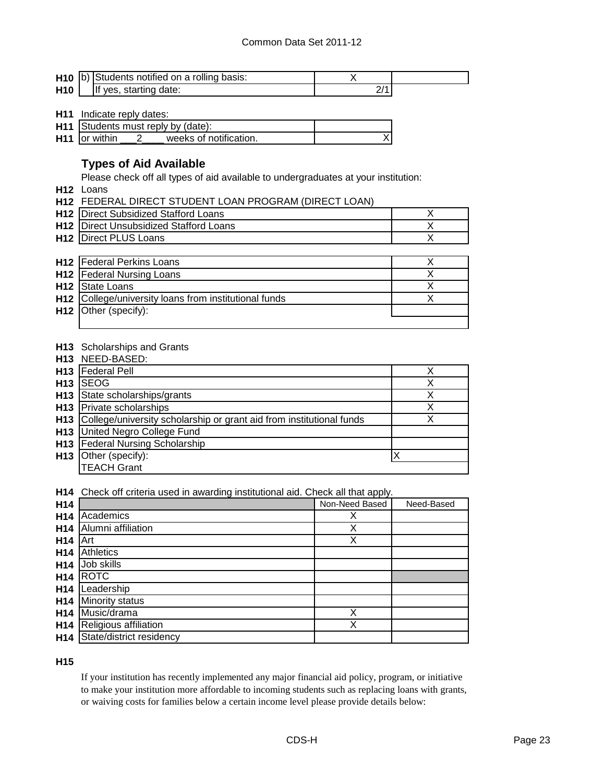|     | $H10$ b) Students notified on a rolling basis: |  |
|-----|------------------------------------------------|--|
| H10 | If yes, starting date:                         |  |

**H11** Indicate reply dates:

|                           | <b>H11</b> Students must reply by (date): |  |
|---------------------------|-------------------------------------------|--|
| H <sub>11</sub> or within | weeks of notification.                    |  |

# **Types of Aid Available**

Please check off all types of aid available to undergraduates at your institution:

**H12** Loans

| <b>H12 FEDERAL DIRECT STUDENT LOAN PROGRAM (DIRECT LOAN)</b> |  |
|--------------------------------------------------------------|--|
|                                                              |  |

| <b>H12</b> Federal Perkins Loans                      |  |
|-------------------------------------------------------|--|
| <b>H12</b> Federal Nursing Loans                      |  |
| H <sub>12</sub> State Loans                           |  |
| H12 College/university loans from institutional funds |  |
| H <sub>12</sub> Other (specify):                      |  |
|                                                       |  |

# **H13** Scholarships and Grants

|                 | H13 NEED-BASED:                                                          |   |
|-----------------|--------------------------------------------------------------------------|---|
| <b>H13</b>      | <b>Federal Pell</b>                                                      |   |
| H <sub>13</sub> | <b>SEOG</b>                                                              | х |
|                 | H13 State scholarships/grants                                            | Χ |
|                 | <b>H13</b> Private scholarships                                          | х |
|                 | H13 College/university scholarship or grant aid from institutional funds |   |
|                 | <b>H13</b> United Negro College Fund                                     |   |
|                 | H13 Federal Nursing Scholarship                                          |   |
| <b>H13</b>      | Other (specify):                                                         |   |
|                 | <b>TEACH Grant</b>                                                       |   |

**H14** Check off criteria used in awarding institutional aid. Check all that apply.

| H14             |                          | Non-Need Based | Need-Based |
|-----------------|--------------------------|----------------|------------|
| H <sub>14</sub> | Academics                | Χ              |            |
| H <sub>14</sub> | Alumni affiliation       | Χ              |            |
| H <sub>14</sub> | Art                      | Χ              |            |
| H <sub>14</sub> | <b>Athletics</b>         |                |            |
| H <sub>14</sub> | Job skills               |                |            |
| H <sub>14</sub> | <b>ROTC</b>              |                |            |
| H <sub>14</sub> | Leadership               |                |            |
| H <sub>14</sub> | <b>Minority status</b>   |                |            |
| H <sub>14</sub> | Music/drama              | Χ              |            |
| H <sub>14</sub> | Religious affiliation    | Χ              |            |
| H <sub>14</sub> | State/district residency |                |            |

**H15**

If your institution has recently implemented any major financial aid policy, program, or initiative to make your institution more affordable to incoming students such as replacing loans with grants, or waiving costs for families below a certain income level please provide details below: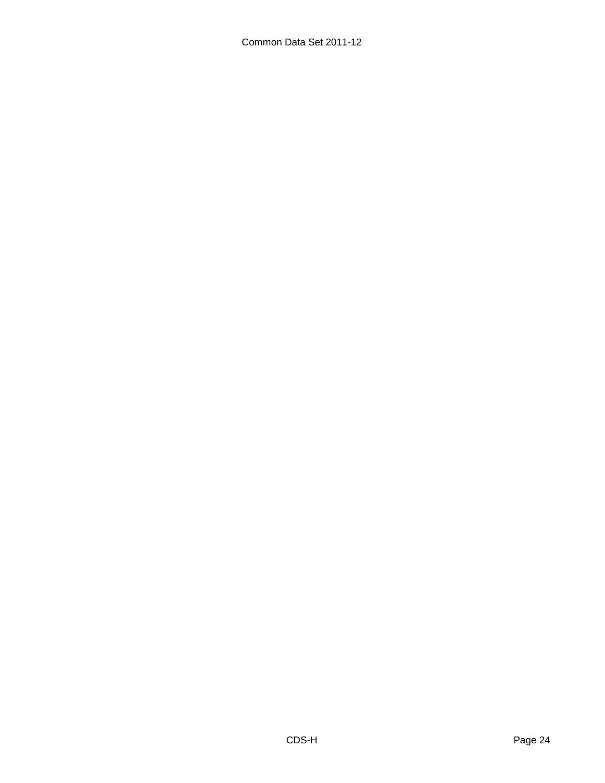Common Data Set 2011-12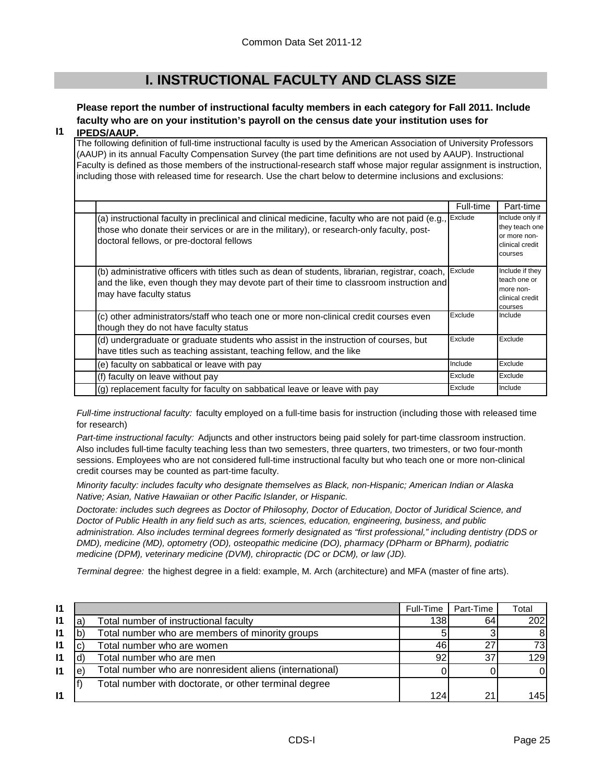# **I. INSTRUCTIONAL FACULTY AND CLASS SIZE**

# **Please report the number of instructional faculty members in each category for Fall 2011. Include faculty who are on your institution's payroll on the census date your institution uses for**

#### **I1 IPEDS/AAUP.**

The following definition of full-time instructional faculty is used by the American Association of University Professors (AAUP) in its annual Faculty Compensation Survey (the part time definitions are not used by AAUP). Instructional Faculty is defined as those members of the instructional-research staff whose major regular assignment is instruction, including those with released time for research. Use the chart below to determine inclusions and exclusions:

|                                                                                                                                                                                                                                          | Full-time | Part-time                                                                       |
|------------------------------------------------------------------------------------------------------------------------------------------------------------------------------------------------------------------------------------------|-----------|---------------------------------------------------------------------------------|
| (a) instructional faculty in preclinical and clinical medicine, faculty who are not paid (e.g.,<br>those who donate their services or are in the military), or research-only faculty, post-<br>doctoral fellows, or pre-doctoral fellows | Exclude   | Include only if<br>they teach one<br>or more non-<br>clinical credit<br>courses |
| (b) administrative officers with titles such as dean of students, librarian, registrar, coach,<br>and the like, even though they may devote part of their time to classroom instruction and<br>may have faculty status                   | Exclude   | Include if they<br>teach one or<br>more non-<br>clinical credit<br>courses      |
| (c) other administrators/staff who teach one or more non-clinical credit courses even<br>though they do not have faculty status                                                                                                          | Exclude   | Include                                                                         |
| (d) undergraduate or graduate students who assist in the instruction of courses, but<br>have titles such as teaching assistant, teaching fellow, and the like                                                                            | Exclude   | Exclude                                                                         |
| (e) faculty on sabbatical or leave with pay                                                                                                                                                                                              | Include   | Exclude                                                                         |
| (f) faculty on leave without pay                                                                                                                                                                                                         | Exclude   | Exclude                                                                         |
| (g) replacement faculty for faculty on sabbatical leave or leave with pay                                                                                                                                                                | Exclude   | Include                                                                         |

*Full-time instructional faculty:* faculty employed on a full-time basis for instruction (including those with released time for research)

*Part-time instructional faculty:* Adjuncts and other instructors being paid solely for part-time classroom instruction. Also includes full-time faculty teaching less than two semesters, three quarters, two trimesters, or two four-month sessions. Employees who are not considered full-time instructional faculty but who teach one or more non-clinical credit courses may be counted as part-time faculty.

*Minority faculty: includes faculty who designate themselves as Black, non-Hispanic; American Indian or Alaska Native; Asian, Native Hawaiian or other Pacific Islander, or Hispanic.* 

*Doctorate: includes such degrees as Doctor of Philosophy, Doctor of Education, Doctor of Juridical Science, and Doctor of Public Health in any field such as arts, sciences, education, engineering, business, and public administration. Also includes terminal degrees formerly designated as "first professional," including dentistry (DDS or DMD), medicine (MD), optometry (OD), osteopathic medicine (DO), pharmacy (DPharm or BPharm), podiatric medicine (DPM), veterinary medicine (DVM), chiropractic (DC or DCM), or law (JD).*

*Terminal degree:* the highest degree in a field: example, M. Arch (architecture) and MFA (master of fine arts).

| $\mathsf{I}$ |                                                         | Full-Time | Part-Time | Total |
|--------------|---------------------------------------------------------|-----------|-----------|-------|
| $\mathbf{I}$ | Total number of instructional faculty                   | 138       | 64        | 202   |
| $\mathbf{I}$ | Total number who are members of minority groups         |           |           | 81    |
| $\mathsf{I}$ | Total number who are women                              | 46        | 27        | 73    |
| 11           | Total number who are men                                | 92        | 37        | 129   |
| $\mathsf{I}$ | Total number who are nonresident aliens (international) |           |           |       |
|              | Total number with doctorate, or other terminal degree   |           |           |       |
| <u>11</u>    |                                                         | 124       | 21        | 145 I |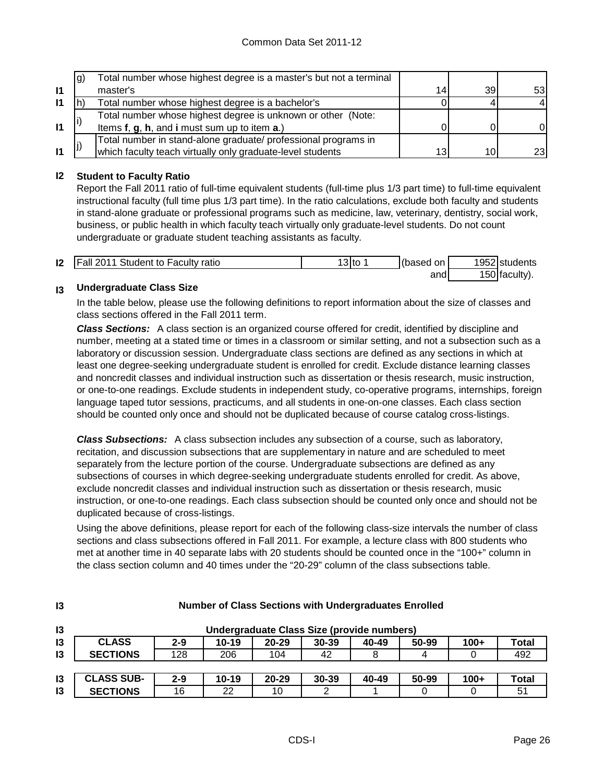|              | g) | Total number whose highest degree is a master's but not a terminal |    |    |      |
|--------------|----|--------------------------------------------------------------------|----|----|------|
| $\mathbf{I}$ |    | master's                                                           |    | 39 | 53 I |
| $\mathbf{I}$ |    | Total number whose highest degree is a bachelor's                  |    |    |      |
|              |    | Total number whose highest degree is unknown or other (Note:       |    |    |      |
| $\mathbf{I}$ |    | Items f, g, h, and i must sum up to item a.)                       |    |    |      |
|              |    | Total number in stand-alone graduate/ professional programs in     |    |    |      |
| $\mathbf{I}$ |    | which faculty teach virtually only graduate-level students         | 13 | 10 | 23I  |

# **I2 Student to Faculty Ratio**

Report the Fall 2011 ratio of full-time equivalent students (full-time plus 1/3 part time) to full-time equivalent instructional faculty (full time plus 1/3 part time). In the ratio calculations, exclude both faculty and students in stand-alone graduate or professional programs such as medicine, law, veterinary, dentistry, social work, business, or public health in which faculty teach virtually only graduate-level students. Do not count undergraduate or graduate student teaching assistants as faculty.

| 12 | <b>Fall 2011 Student to Faculty ratio</b> | '3Ito | (based on | 1952 students |
|----|-------------------------------------------|-------|-----------|---------------|
|    |                                           |       | andl      | 150 faculty). |

#### **I3 Undergraduate Class Size**

**I3**

In the table below, please use the following definitions to report information about the size of classes and class sections offered in the Fall 2011 term.

*Class Sections:* A class section is an organized course offered for credit, identified by discipline and number, meeting at a stated time or times in a classroom or similar setting, and not a subsection such as a laboratory or discussion session. Undergraduate class sections are defined as any sections in which at least one degree-seeking undergraduate student is enrolled for credit. Exclude distance learning classes and noncredit classes and individual instruction such as dissertation or thesis research, music instruction, or one-to-one readings. Exclude students in independent study, co-operative programs, internships, foreign language taped tutor sessions, practicums, and all students in one-on-one classes. Each class section should be counted only once and should not be duplicated because of course catalog cross-listings.

*Class Subsections:* A class subsection includes any subsection of a course, such as laboratory, recitation, and discussion subsections that are supplementary in nature and are scheduled to meet separately from the lecture portion of the course. Undergraduate subsections are defined as any subsections of courses in which degree-seeking undergraduate students enrolled for credit. As above, exclude noncredit classes and individual instruction such as dissertation or thesis research, music instruction, or one-to-one readings. Each class subsection should be counted only once and should not be duplicated because of cross-listings.

Using the above definitions, please report for each of the following class-size intervals the number of class sections and class subsections offered in Fall 2011. For example, a lecture class with 800 students who met at another time in 40 separate labs with 20 students should be counted once in the "100+" column in the class section column and 40 times under the "20-29" column of the class subsections table.

| 13            |                   | Undergraduate Class Size (provide numbers) |           |           |           |       |       |        |              |
|---------------|-------------------|--------------------------------------------|-----------|-----------|-----------|-------|-------|--------|--------------|
| 13            | <b>CLASS</b>      | $2 - 9$                                    | $10 - 19$ | $20 - 29$ | $30 - 39$ | 40-49 | 50-99 | $100+$ | <b>Total</b> |
| $\mathsf{I}3$ | <b>SECTIONS</b>   | 128                                        | 206       | 104       | 42        |       | 4     |        | 492          |
|               |                   |                                            |           |           |           |       |       |        |              |
| $\mathsf{I}3$ | <b>CLASS SUB-</b> | $2 - 9$                                    | $10 - 19$ | $20 - 29$ | $30 - 39$ | 40-49 | 50-99 | $100+$ | <b>Total</b> |
| $\mathsf{I}3$ | <b>SECTIONS</b>   | 16                                         | 22        | 10        |           |       |       |        | 51           |

# **Number of Class Sections with Undergraduates Enrolled**